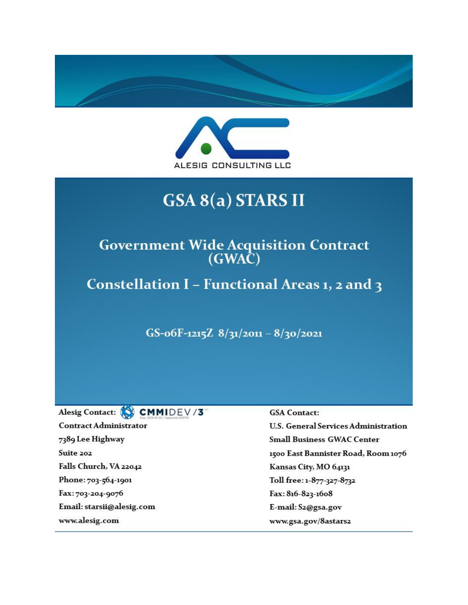



# GSA 8(a) STARS II

# Government Wide Acquisition Contract<br>(GWAC)

Constellation I - Functional Areas 1, 2 and 3

GS-06F-1215Z  $8/31/2011 - 8/30/2021$ 

Alesig Contact: CMMIDEV/3 **Contract Administrator** 7389 Lee Highway Suite 202 Falls Church, VA 22042 Phone: 703-564-1901 Fax: 703-204-9076 Email: starsii@alesig.com www.alesig.com

#### **GSA** Contact:

**U.S. General Services Administration Small Business GWAC Center** 1500 East Bannister Road, Room 1076 Kansas City, MO 64131 Toll free: 1-877-327-8732 Fax: 816-823-1608 E-mail: S2@gsa.gov www.gsa.gov/8astars2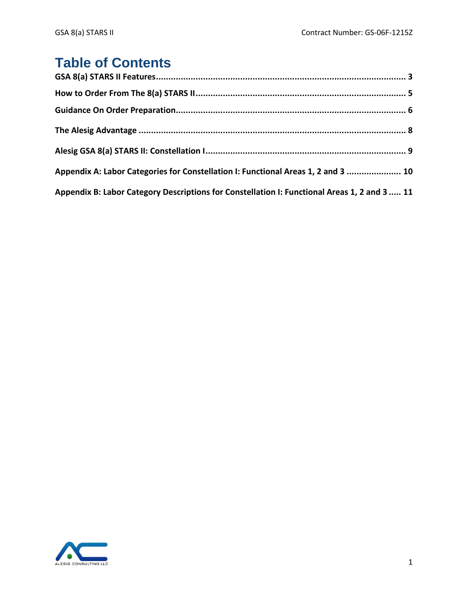# **Table of Contents**

| Appendix A: Labor Categories for Constellation I: Functional Areas 1, 2 and 3  10            |  |
|----------------------------------------------------------------------------------------------|--|
| Appendix B: Labor Category Descriptions for Constellation I: Functional Areas 1, 2 and 3  11 |  |

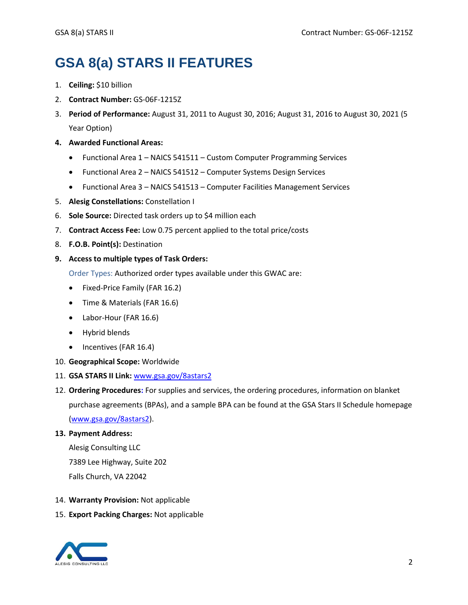# **GSA 8(a) STARS II FEATURES**

- 1. **Ceiling:** \$10 billion
- 2. **Contract Number:** GS-06F-1215Z
- 3. **Period of Performance:** August 31, 2011 to August 30, 2016; August 31, 2016 to August 30, 2021 (5 Year Option)
- **4. Awarded Functional Areas:**
	- Functional Area 1 NAICS 541511 Custom Computer Programming Services
	- Functional Area 2 NAICS 541512 Computer Systems Design Services
	- Functional Area 3 NAICS 541513 Computer Facilities Management Services
- 5. **Alesig Constellations:** Constellation I
- 6. **Sole Source:** Directed task orders up to \$4 million each
- 7. **Contract Access Fee:** Low 0.75 percent applied to the total price/costs
- 8. **F.O.B. Point(s):** Destination
- **9. Access to multiple types of Task Orders:**

Order Types: Authorized order types available under this GWAC are:

- Fixed-Price Family (FAR 16.2)
- Time & Materials (FAR 16.6)
- Labor-Hour (FAR 16.6)
- Hybrid blends
- Incentives (FAR 16.4)
- 10. **Geographical Scope:** Worldwide
- 11. **GSA STARS II Link:** [www.gsa.gov/8astars2](http://www.gsa.gov/8astars2)
- 12. **Ordering Procedures:** For supplies and services, the ordering procedures, information on blanket purchase agreements (BPAs), and a sample BPA can be found at the GSA Stars II Schedule homepage [\(www.gsa.gov/8astars2\)](http://www.gsa.gov/8astars2).

#### **13. Payment Address:**

Alesig Consulting LLC 7389 Lee Highway, Suite 202 Falls Church, VA 22042

- 14. **Warranty Provision:** Not applicable
- 15. **Export Packing Charges:** Not applicable

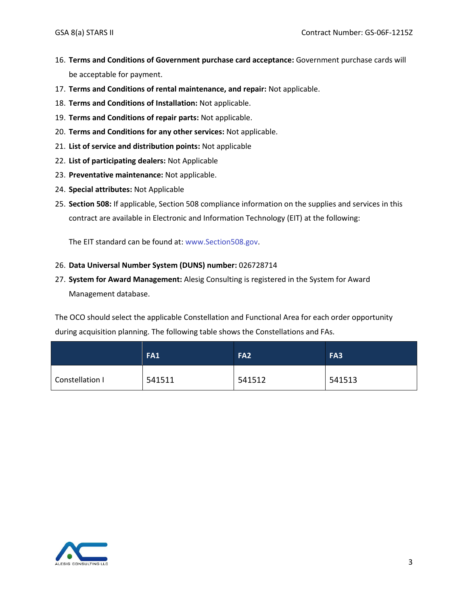- 16. **Terms and Conditions of Government purchase card acceptance:** Government purchase cards will be acceptable for payment.
- 17. **Terms and Conditions of rental maintenance, and repair:** Not applicable.
- 18. **Terms and Conditions of Installation:** Not applicable.
- 19. **Terms and Conditions of repair parts:** Not applicable.
- 20. **Terms and Conditions for any other services:** Not applicable.
- 21. **List of service and distribution points:** Not applicable
- 22. **List of participating dealers:** Not Applicable
- 23. **Preventative maintenance:** Not applicable.
- 24. **Special attributes:** Not Applicable
- 25. **Section 508:** If applicable, Section 508 compliance information on the supplies and services in this contract are available in Electronic and Information Technology (EIT) at the following:

The EIT standard can be found at: www.Section508.gov.

#### 26. **Data Universal Number System (DUNS) number:** 026728714

27. **System for Award Management:** Alesig Consulting is registered in the System for Award Management database.

The OCO should select the applicable Constellation and Functional Area for each order opportunity during acquisition planning. The following table shows the Constellations and FAs.

|                 | <b>FA1</b> | FA <sub>2</sub> | FA3    |
|-----------------|------------|-----------------|--------|
| Constellation I | 541511     | 541512          | 541513 |

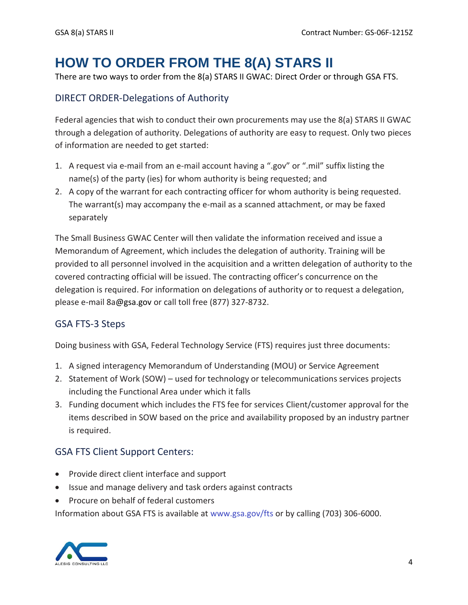# **HOW TO ORDER FROM THE 8(A) STARS II**

There are two ways to order from the 8(a) STARS II GWAC: Direct Order or through GSA FTS.

# DIRECT ORDER-Delegations of Authority

Federal agencies that wish to conduct their own procurements may use the 8(a) STARS II GWAC through a delegation of authority. Delegations of authority are easy to request. Only two pieces of information are needed to get started:

- 1. A request via e-mail from an e-mail account having a ".gov" or ".mil" suffix listing the name(s) of the party (ies) for whom authority is being requested; and
- 2. A copy of the warrant for each contracting officer for whom authority is being requested. The warrant(s) may accompany the e-mail as a scanned attachment, or may be faxed separately

The Small Business GWAC Center will then validate the information received and issue a Memorandum of Agreement, which includes the delegation of authority. Training will be provided to all personnel involved in the acquisition and a written delegation of authority to the covered contracting official will be issued. The contracting officer's concurrence on the delegation is required. For information on delegations of authority or to request a delegation, please e-mail 8a@gsa.gov or call toll free (877) 327-8732.

# GSA FTS-3 Steps

Doing business with GSA, Federal Technology Service (FTS) requires just three documents:

- 1. A signed interagency Memorandum of Understanding (MOU) or Service Agreement
- 2. Statement of Work (SOW) used for technology or telecommunications services projects including the Functional Area under which it falls
- 3. Funding document which includes the FTS fee for services Client/customer approval for the items described in SOW based on the price and availability proposed by an industry partner is required.

# GSA FTS Client Support Centers:

- Provide direct client interface and support
- Issue and manage delivery and task orders against contracts
- Procure on behalf of federal customers

Information about GSA FTS is available at www.gsa.gov/fts or by calling (703) 306-6000.

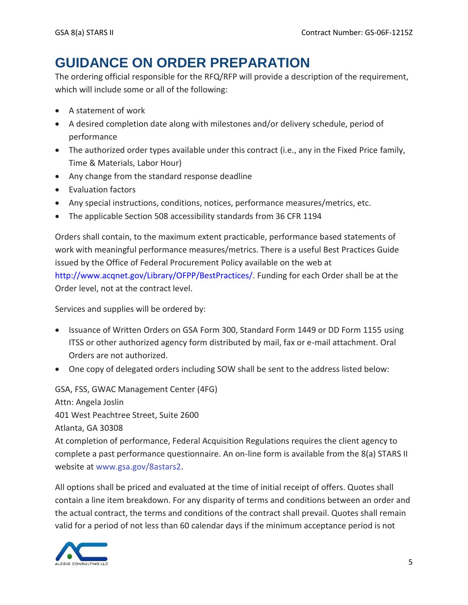# **GUIDANCE ON ORDER PREPARATION**

The ordering official responsible for the RFQ/RFP will provide a description of the requirement, which will include some or all of the following:

- A statement of work
- A desired completion date along with milestones and/or delivery schedule, period of performance
- The authorized order types available under this contract (i.e., any in the Fixed Price family, Time & Materials, Labor Hour)
- Any change from the standard response deadline
- Evaluation factors
- Any special instructions, conditions, notices, performance measures/metrics, etc.
- The applicable Section 508 accessibility standards from 36 CFR 1194

Orders shall contain, to the maximum extent practicable, performance based statements of work with meaningful performance measures/metrics. There is a useful Best Practices Guide issued by the Office of Federal Procurement Policy available on the web at http://www.acqnet.gov/Library/OFPP/BestPractices/. Funding for each Order shall be at the Order level, not at the contract level.

Services and supplies will be ordered by:

- Issuance of Written Orders on GSA Form 300, Standard Form 1449 or DD Form 1155 using ITSS or other authorized agency form distributed by mail, fax or e-mail attachment. Oral Orders are not authorized.
- One copy of delegated orders including SOW shall be sent to the address listed below:

GSA, FSS, GWAC Management Center (4FG) Attn: Angela Joslin 401 West Peachtree Street, Suite 2600 Atlanta, GA 30308 At completion of performance, Federal Acquisition Regulations requires the client agency to complete a past performance questionnaire. An on-line form is available from the 8(a) STARS II website at www.gsa.gov/8astars2.

All options shall be priced and evaluated at the time of initial receipt of offers. Quotes shall contain a line item breakdown. For any disparity of terms and conditions between an order and the actual contract, the terms and conditions of the contract shall prevail. Quotes shall remain valid for a period of not less than 60 calendar days if the minimum acceptance period is not

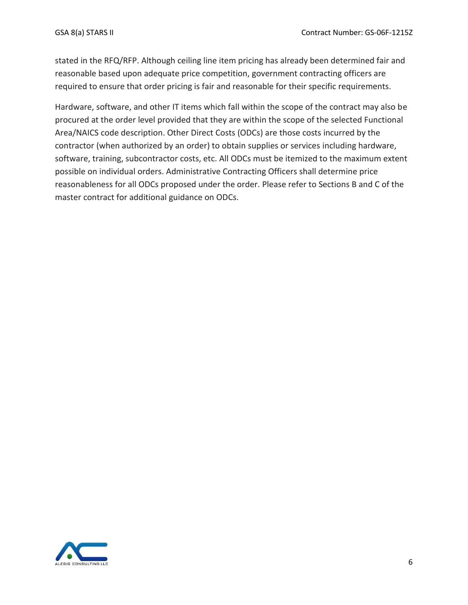stated in the RFQ/RFP. Although ceiling line item pricing has already been determined fair and reasonable based upon adequate price competition, government contracting officers are required to ensure that order pricing is fair and reasonable for their specific requirements.

Hardware, software, and other IT items which fall within the scope of the contract may also be procured at the order level provided that they are within the scope of the selected Functional Area/NAICS code description. Other Direct Costs (ODCs) are those costs incurred by the contractor (when authorized by an order) to obtain supplies or services including hardware, software, training, subcontractor costs, etc. All ODCs must be itemized to the maximum extent possible on individual orders. Administrative Contracting Officers shall determine price reasonableness for all ODCs proposed under the order. Please refer to Sections B and C of the master contract for additional guidance on ODCs.

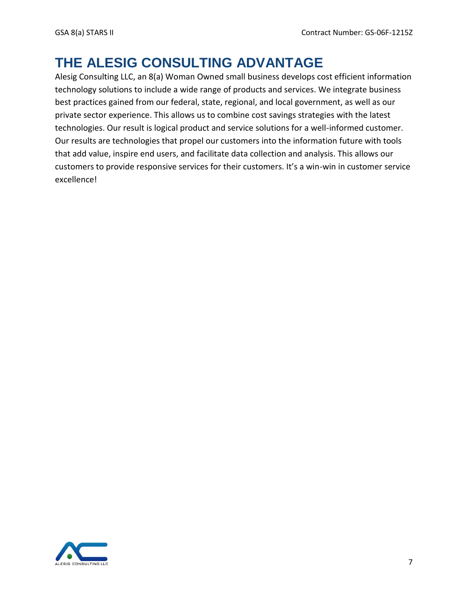# **THE ALESIG CONSULTING ADVANTAGE**

Alesig Consulting LLC, an 8(a) Woman Owned small business develops cost efficient information technology solutions to include a wide range of products and services. We integrate business best practices gained from our federal, state, regional, and local government, as well as our private sector experience. This allows us to combine cost savings strategies with the latest technologies. Our result is logical product and service solutions for a well-informed customer. Our results are technologies that propel our customers into the information future with tools that add value, inspire end users, and facilitate data collection and analysis. This allows our customers to provide responsive services for their customers. It's a win-win in customer service excellence!

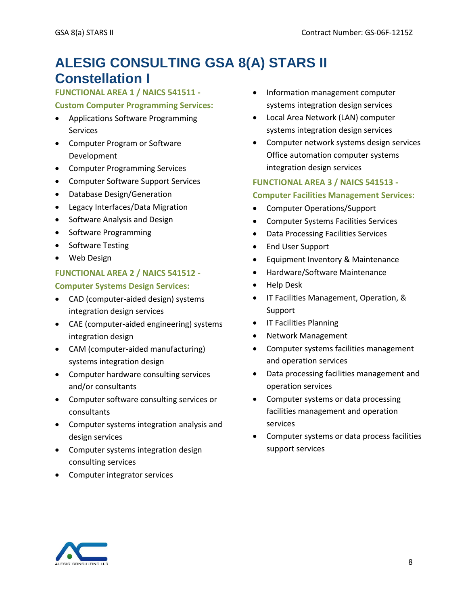# **ALESIG CONSULTING GSA 8(A) STARS II Constellation I**

## **FUNCTIONAL AREA 1 / NAICS 541511 -**

### **Custom Computer Programming Services:**

- Applications Software Programming Services
- Computer Program or Software Development
- Computer Programming Services
- Computer Software Support Services
- Database Design/Generation
- Legacy Interfaces/Data Migration
- Software Analysis and Design
- Software Programming
- Software Testing
- Web Design

### **FUNCTIONAL AREA 2 / NAICS 541512 -**

### **Computer Systems Design Services:**

- CAD (computer-aided design) systems integration design services
- CAE (computer-aided engineering) systems integration design
- CAM (computer-aided manufacturing) systems integration design
- Computer hardware consulting services and/or consultants
- Computer software consulting services or consultants
- Computer systems integration analysis and design services
- Computer systems integration design consulting services
- Computer integrator services
- Information management computer systems integration design services
- Local Area Network (LAN) computer systems integration design services
- Computer network systems design services Office automation computer systems integration design services

## **FUNCTIONAL AREA 3 / NAICS 541513 - Computer Facilities Management Services:**

- Computer Operations/Support
- Computer Systems Facilities Services
- Data Processing Facilities Services
- End User Support
- Equipment Inventory & Maintenance
- Hardware/Software Maintenance
- Help Desk
- IT Facilities Management, Operation, & Support
- IT Facilities Planning
- Network Management
- Computer systems facilities management and operation services
- Data processing facilities management and operation services
- Computer systems or data processing facilities management and operation services
- Computer systems or data process facilities support services

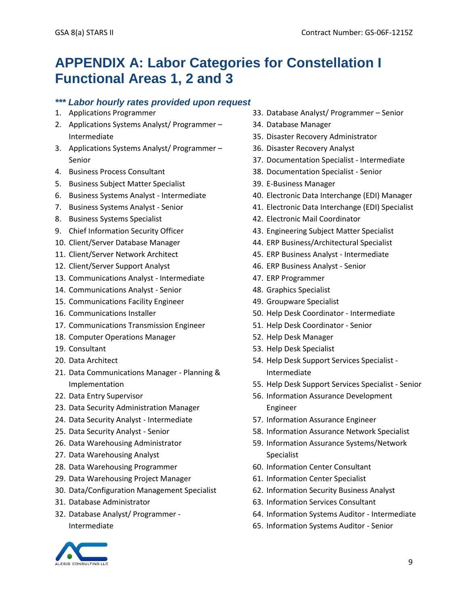# **APPENDIX A: Labor Categories for Constellation I Functional Areas 1, 2 and 3**

## *\*\*\* Labor hourly rates provided upon request*

- 1. Applications Programmer
- 2. Applications Systems Analyst/ Programmer Intermediate
- 3. Applications Systems Analyst/ Programmer Senior
- 4. Business Process Consultant
- 5. Business Subject Matter Specialist
- 6. Business Systems Analyst Intermediate
- 7. Business Systems Analyst Senior
- 8. Business Systems Specialist
- 9. Chief Information Security Officer
- 10. Client/Server Database Manager
- 11. Client/Server Network Architect
- 12. Client/Server Support Analyst
- 13. Communications Analyst Intermediate
- 14. Communications Analyst Senior
- 15. Communications Facility Engineer
- 16. Communications Installer
- 17. Communications Transmission Engineer
- 18. Computer Operations Manager
- 19. Consultant
- 20. Data Architect
- 21. Data Communications Manager Planning & Implementation
- 22. Data Entry Supervisor
- 23. Data Security Administration Manager
- 24. Data Security Analyst Intermediate
- 25. Data Security Analyst Senior
- 26. Data Warehousing Administrator
- 27. Data Warehousing Analyst
- 28. Data Warehousing Programmer
- 29. Data Warehousing Project Manager
- 30. Data/Configuration Management Specialist
- 31. Database Administrator
- 32. Database Analyst/ Programmer Intermediate



- 34. Database Manager
- 35. Disaster Recovery Administrator
- 36. Disaster Recovery Analyst
- 37. Documentation Specialist Intermediate
- 38. Documentation Specialist Senior
- 39. E-Business Manager
- 40. Electronic Data Interchange (EDI) Manager
- 41. Electronic Data Interchange (EDI) Specialist
- 42. Electronic Mail Coordinator
- 43. Engineering Subject Matter Specialist
- 44. ERP Business/Architectural Specialist
- 45. ERP Business Analyst Intermediate
- 46. ERP Business Analyst Senior
- 47. ERP Programmer
- 48. Graphics Specialist
- 49. Groupware Specialist
- 50. Help Desk Coordinator Intermediate
- 51. Help Desk Coordinator Senior
- 52. Help Desk Manager
- 53. Help Desk Specialist
- 54. Help Desk Support Services Specialist Intermediate
- 55. Help Desk Support Services Specialist Senior
- 56. Information Assurance Development Engineer
- 57. Information Assurance Engineer
- 58. Information Assurance Network Specialist
- 59. Information Assurance Systems/Network Specialist
- 60. Information Center Consultant
- 61. Information Center Specialist
- 62. Information Security Business Analyst
- 63. Information Services Consultant
- 64. Information Systems Auditor Intermediate
- 65. Information Systems Auditor Senior

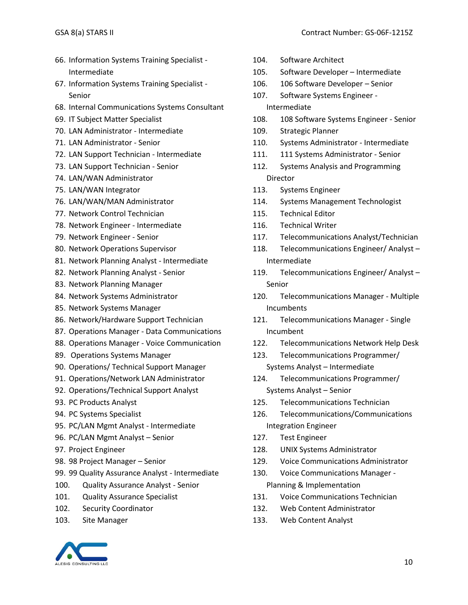- 66. Information Systems Training Specialist Intermediate
- 67. Information Systems Training Specialist Senior
- 68. Internal Communications Systems Consultant
- 69. IT Subject Matter Specialist
- 70. LAN Administrator Intermediate
- 71. LAN Administrator Senior
- 72. LAN Support Technician Intermediate
- 73. LAN Support Technician Senior
- 74. LAN/WAN Administrator
- 75. LAN/WAN Integrator
- 76. LAN/WAN/MAN Administrator
- 77. Network Control Technician
- 78. Network Engineer Intermediate
- 79. Network Engineer Senior
- 80. Network Operations Supervisor
- 81. Network Planning Analyst Intermediate
- 82. Network Planning Analyst Senior
- 83. Network Planning Manager
- 84. Network Systems Administrator
- 85. Network Systems Manager
- 86. Network/Hardware Support Technician
- 87. Operations Manager Data Communications
- 88. Operations Manager Voice Communication
- 89. Operations Systems Manager
- 90. Operations/ Technical Support Manager
- 91. Operations/Network LAN Administrator
- 92. Operations/Technical Support Analyst
- 93. PC Products Analyst
- 94. PC Systems Specialist
- 95. PC/LAN Mgmt Analyst Intermediate
- 96. PC/LAN Mgmt Analyst Senior
- 97. Project Engineer
- 98. 98 Project Manager Senior
- 99. 99 Quality Assurance Analyst Intermediate
- 100. Quality Assurance Analyst Senior
- 101. Quality Assurance Specialist
- 102. Security Coordinator
- 103. Site Manager



- 105. Software Developer Intermediate
- 106. 106 Software Developer Senior
- 107. Software Systems Engineer Intermediate
- 108. 108 Software Systems Engineer Senior
- 109. Strategic Planner
- 110. Systems Administrator Intermediate
- 111. 111 Systems Administrator Senior
- 112. Systems Analysis and Programming Director
- 113. Systems Engineer
- 114. Systems Management Technologist
- 115. Technical Editor
- 116. Technical Writer
- 117. Telecommunications Analyst/Technician
- 118. Telecommunications Engineer/ Analyst Intermediate
- 119. Telecommunications Engineer/ Analyst Senior
- 120. Telecommunications Manager Multiple Incumbents
- 121. Telecommunications Manager Single Incumbent
- 122. Telecommunications Network Help Desk
- 123. Telecommunications Programmer/ Systems Analyst – Intermediate
- 124. Telecommunications Programmer/ Systems Analyst – Senior
- 125. Telecommunications Technician
- 126. Telecommunications/Communications Integration Engineer
- 127. Test Engineer
- 128. UNIX Systems Administrator
- 129. Voice Communications Administrator
- 130. Voice Communications Manager Planning & Implementation
- 131. Voice Communications Technician
- 132. Web Content Administrator
- 133. Web Content Analyst

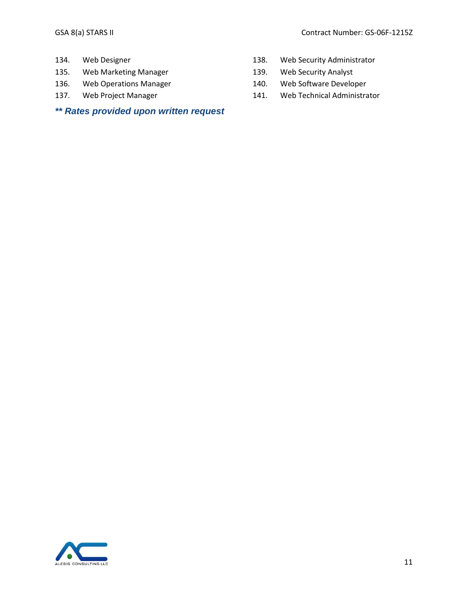- 134. Web Designer
- 135. Web Marketing Manager
- 136. Web Operations Manager
- 137. Web Project Manager

# *\*\* Rates provided upon written request*

- 138. Web Security Administrator
- 139. Web Security Analyst
- 140. Web Software Developer
- 141. Web Technical Administrator

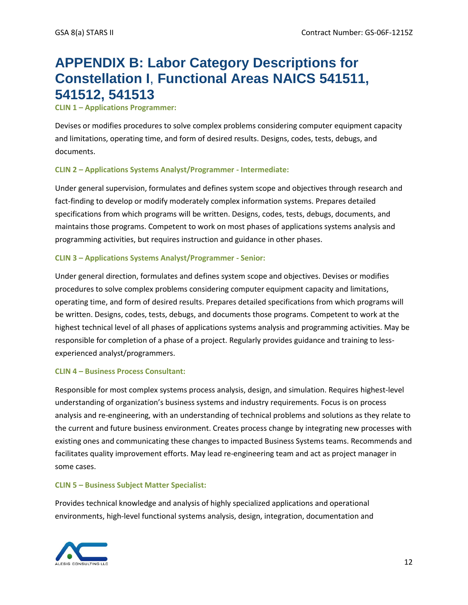# **APPENDIX B: Labor Category Descriptions for Constellation I**, **Functional Areas NAICS 541511, 541512, 541513**

#### **CLIN 1 – Applications Programmer:**

Devises or modifies procedures to solve complex problems considering computer equipment capacity and limitations, operating time, and form of desired results. Designs, codes, tests, debugs, and documents.

#### **CLIN 2 – Applications Systems Analyst/Programmer - Intermediate:**

Under general supervision, formulates and defines system scope and objectives through research and fact-finding to develop or modify moderately complex information systems. Prepares detailed specifications from which programs will be written. Designs, codes, tests, debugs, documents, and maintains those programs. Competent to work on most phases of applications systems analysis and programming activities, but requires instruction and guidance in other phases.

#### **CLIN 3 – Applications Systems Analyst/Programmer - Senior:**

Under general direction, formulates and defines system scope and objectives. Devises or modifies procedures to solve complex problems considering computer equipment capacity and limitations, operating time, and form of desired results. Prepares detailed specifications from which programs will be written. Designs, codes, tests, debugs, and documents those programs. Competent to work at the highest technical level of all phases of applications systems analysis and programming activities. May be responsible for completion of a phase of a project. Regularly provides guidance and training to lessexperienced analyst/programmers.

#### **CLIN 4 – Business Process Consultant:**

Responsible for most complex systems process analysis, design, and simulation. Requires highest-level understanding of organization's business systems and industry requirements. Focus is on process analysis and re-engineering, with an understanding of technical problems and solutions as they relate to the current and future business environment. Creates process change by integrating new processes with existing ones and communicating these changes to impacted Business Systems teams. Recommends and facilitates quality improvement efforts. May lead re-engineering team and act as project manager in some cases.

#### **CLIN 5 – Business Subject Matter Specialist:**

Provides technical knowledge and analysis of highly specialized applications and operational environments, high-level functional systems analysis, design, integration, documentation and

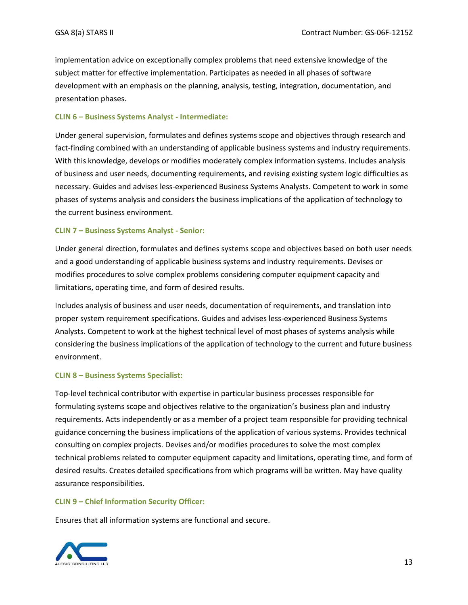implementation advice on exceptionally complex problems that need extensive knowledge of the subject matter for effective implementation. Participates as needed in all phases of software development with an emphasis on the planning, analysis, testing, integration, documentation, and presentation phases.

#### **CLIN 6 – Business Systems Analyst - Intermediate:**

Under general supervision, formulates and defines systems scope and objectives through research and fact-finding combined with an understanding of applicable business systems and industry requirements. With this knowledge, develops or modifies moderately complex information systems. Includes analysis of business and user needs, documenting requirements, and revising existing system logic difficulties as necessary. Guides and advises less-experienced Business Systems Analysts. Competent to work in some phases of systems analysis and considers the business implications of the application of technology to the current business environment.

#### **CLIN 7 – Business Systems Analyst - Senior:**

Under general direction, formulates and defines systems scope and objectives based on both user needs and a good understanding of applicable business systems and industry requirements. Devises or modifies procedures to solve complex problems considering computer equipment capacity and limitations, operating time, and form of desired results.

Includes analysis of business and user needs, documentation of requirements, and translation into proper system requirement specifications. Guides and advises less-experienced Business Systems Analysts. Competent to work at the highest technical level of most phases of systems analysis while considering the business implications of the application of technology to the current and future business environment.

#### **CLIN 8 – Business Systems Specialist:**

Top-level technical contributor with expertise in particular business processes responsible for formulating systems scope and objectives relative to the organization's business plan and industry requirements. Acts independently or as a member of a project team responsible for providing technical guidance concerning the business implications of the application of various systems. Provides technical consulting on complex projects. Devises and/or modifies procedures to solve the most complex technical problems related to computer equipment capacity and limitations, operating time, and form of desired results. Creates detailed specifications from which programs will be written. May have quality assurance responsibilities.

#### **CLIN 9 – Chief Information Security Officer:**

Ensures that all information systems are functional and secure.

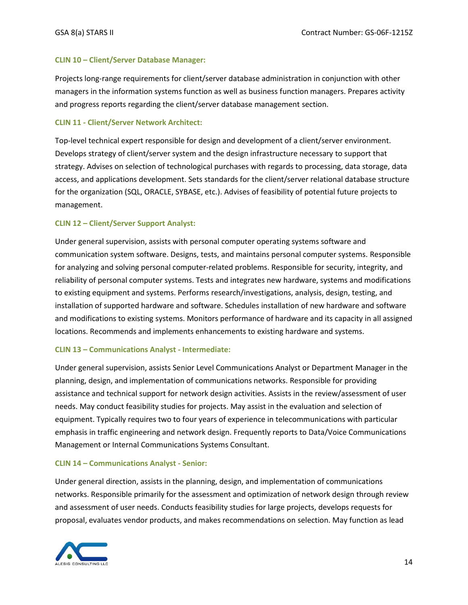#### **CLIN 10 – Client/Server Database Manager:**

Projects long-range requirements for client/server database administration in conjunction with other managers in the information systems function as well as business function managers. Prepares activity and progress reports regarding the client/server database management section.

#### **CLIN 11 - Client/Server Network Architect:**

Top-level technical expert responsible for design and development of a client/server environment. Develops strategy of client/server system and the design infrastructure necessary to support that strategy. Advises on selection of technological purchases with regards to processing, data storage, data access, and applications development. Sets standards for the client/server relational database structure for the organization (SQL, ORACLE, SYBASE, etc.). Advises of feasibility of potential future projects to management.

#### **CLIN 12 – Client/Server Support Analyst:**

Under general supervision, assists with personal computer operating systems software and communication system software. Designs, tests, and maintains personal computer systems. Responsible for analyzing and solving personal computer-related problems. Responsible for security, integrity, and reliability of personal computer systems. Tests and integrates new hardware, systems and modifications to existing equipment and systems. Performs research/investigations, analysis, design, testing, and installation of supported hardware and software. Schedules installation of new hardware and software and modifications to existing systems. Monitors performance of hardware and its capacity in all assigned locations. Recommends and implements enhancements to existing hardware and systems.

#### **CLIN 13 – Communications Analyst - Intermediate:**

Under general supervision, assists Senior Level Communications Analyst or Department Manager in the planning, design, and implementation of communications networks. Responsible for providing assistance and technical support for network design activities. Assists in the review/assessment of user needs. May conduct feasibility studies for projects. May assist in the evaluation and selection of equipment. Typically requires two to four years of experience in telecommunications with particular emphasis in traffic engineering and network design. Frequently reports to Data/Voice Communications Management or Internal Communications Systems Consultant.

#### **CLIN 14 – Communications Analyst - Senior:**

Under general direction, assists in the planning, design, and implementation of communications networks. Responsible primarily for the assessment and optimization of network design through review and assessment of user needs. Conducts feasibility studies for large projects, develops requests for proposal, evaluates vendor products, and makes recommendations on selection. May function as lead

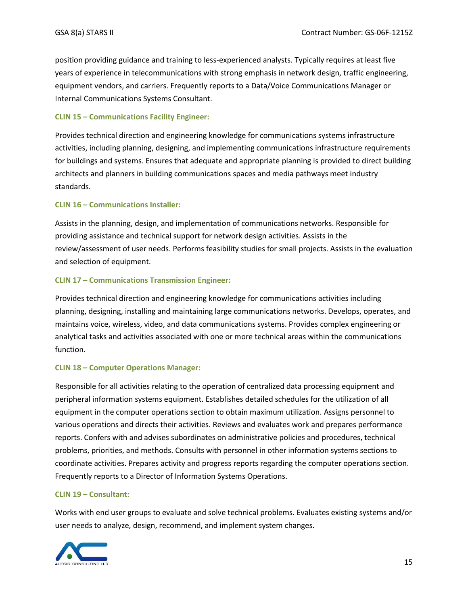position providing guidance and training to less-experienced analysts. Typically requires at least five years of experience in telecommunications with strong emphasis in network design, traffic engineering, equipment vendors, and carriers. Frequently reports to a Data/Voice Communications Manager or Internal Communications Systems Consultant.

#### **CLIN 15 – Communications Facility Engineer:**

Provides technical direction and engineering knowledge for communications systems infrastructure activities, including planning, designing, and implementing communications infrastructure requirements for buildings and systems. Ensures that adequate and appropriate planning is provided to direct building architects and planners in building communications spaces and media pathways meet industry standards.

#### **CLIN 16 – Communications Installer:**

Assists in the planning, design, and implementation of communications networks. Responsible for providing assistance and technical support for network design activities. Assists in the review/assessment of user needs. Performs feasibility studies for small projects. Assists in the evaluation and selection of equipment.

#### **CLIN 17 – Communications Transmission Engineer:**

Provides technical direction and engineering knowledge for communications activities including planning, designing, installing and maintaining large communications networks. Develops, operates, and maintains voice, wireless, video, and data communications systems. Provides complex engineering or analytical tasks and activities associated with one or more technical areas within the communications function.

#### **CLIN 18 – Computer Operations Manager:**

Responsible for all activities relating to the operation of centralized data processing equipment and peripheral information systems equipment. Establishes detailed schedules for the utilization of all equipment in the computer operations section to obtain maximum utilization. Assigns personnel to various operations and directs their activities. Reviews and evaluates work and prepares performance reports. Confers with and advises subordinates on administrative policies and procedures, technical problems, priorities, and methods. Consults with personnel in other information systems sections to coordinate activities. Prepares activity and progress reports regarding the computer operations section. Frequently reports to a Director of Information Systems Operations.

#### **CLIN 19 – Consultant:**

Works with end user groups to evaluate and solve technical problems. Evaluates existing systems and/or user needs to analyze, design, recommend, and implement system changes.

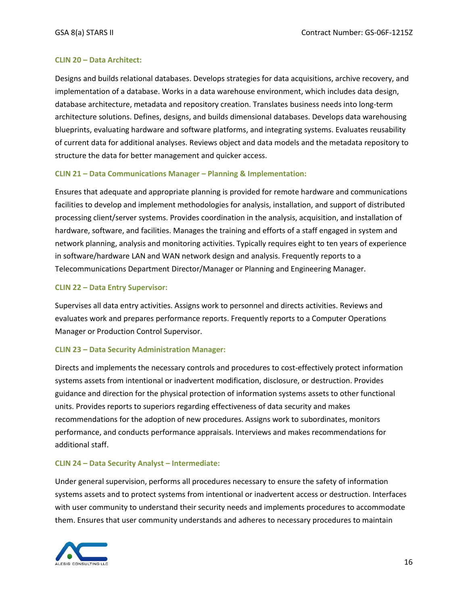#### **CLIN 20 – Data Architect:**

Designs and builds relational databases. Develops strategies for data acquisitions, archive recovery, and implementation of a database. Works in a data warehouse environment, which includes data design, database architecture, metadata and repository creation. Translates business needs into long-term architecture solutions. Defines, designs, and builds dimensional databases. Develops data warehousing blueprints, evaluating hardware and software platforms, and integrating systems. Evaluates reusability of current data for additional analyses. Reviews object and data models and the metadata repository to structure the data for better management and quicker access.

#### **CLIN 21 – Data Communications Manager – Planning & Implementation:**

Ensures that adequate and appropriate planning is provided for remote hardware and communications facilities to develop and implement methodologies for analysis, installation, and support of distributed processing client/server systems. Provides coordination in the analysis, acquisition, and installation of hardware, software, and facilities. Manages the training and efforts of a staff engaged in system and network planning, analysis and monitoring activities. Typically requires eight to ten years of experience in software/hardware LAN and WAN network design and analysis. Frequently reports to a Telecommunications Department Director/Manager or Planning and Engineering Manager.

#### **CLIN 22 – Data Entry Supervisor:**

Supervises all data entry activities. Assigns work to personnel and directs activities. Reviews and evaluates work and prepares performance reports. Frequently reports to a Computer Operations Manager or Production Control Supervisor.

#### **CLIN 23 – Data Security Administration Manager:**

Directs and implements the necessary controls and procedures to cost-effectively protect information systems assets from intentional or inadvertent modification, disclosure, or destruction. Provides guidance and direction for the physical protection of information systems assets to other functional units. Provides reports to superiors regarding effectiveness of data security and makes recommendations for the adoption of new procedures. Assigns work to subordinates, monitors performance, and conducts performance appraisals. Interviews and makes recommendations for additional staff.

#### **CLIN 24 – Data Security Analyst – Intermediate:**

Under general supervision, performs all procedures necessary to ensure the safety of information systems assets and to protect systems from intentional or inadvertent access or destruction. Interfaces with user community to understand their security needs and implements procedures to accommodate them. Ensures that user community understands and adheres to necessary procedures to maintain

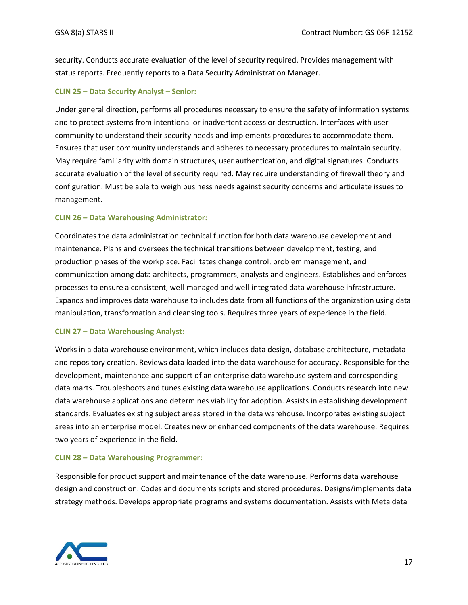security. Conducts accurate evaluation of the level of security required. Provides management with status reports. Frequently reports to a Data Security Administration Manager.

#### **CLIN 25 – Data Security Analyst – Senior:**

Under general direction, performs all procedures necessary to ensure the safety of information systems and to protect systems from intentional or inadvertent access or destruction. Interfaces with user community to understand their security needs and implements procedures to accommodate them. Ensures that user community understands and adheres to necessary procedures to maintain security. May require familiarity with domain structures, user authentication, and digital signatures. Conducts accurate evaluation of the level of security required. May require understanding of firewall theory and configuration. Must be able to weigh business needs against security concerns and articulate issues to management.

#### **CLIN 26 – Data Warehousing Administrator:**

Coordinates the data administration technical function for both data warehouse development and maintenance. Plans and oversees the technical transitions between development, testing, and production phases of the workplace. Facilitates change control, problem management, and communication among data architects, programmers, analysts and engineers. Establishes and enforces processes to ensure a consistent, well-managed and well-integrated data warehouse infrastructure. Expands and improves data warehouse to includes data from all functions of the organization using data manipulation, transformation and cleansing tools. Requires three years of experience in the field.

#### **CLIN 27 – Data Warehousing Analyst:**

Works in a data warehouse environment, which includes data design, database architecture, metadata and repository creation. Reviews data loaded into the data warehouse for accuracy. Responsible for the development, maintenance and support of an enterprise data warehouse system and corresponding data marts. Troubleshoots and tunes existing data warehouse applications. Conducts research into new data warehouse applications and determines viability for adoption. Assists in establishing development standards. Evaluates existing subject areas stored in the data warehouse. Incorporates existing subject areas into an enterprise model. Creates new or enhanced components of the data warehouse. Requires two years of experience in the field.

#### **CLIN 28 – Data Warehousing Programmer:**

Responsible for product support and maintenance of the data warehouse. Performs data warehouse design and construction. Codes and documents scripts and stored procedures. Designs/implements data strategy methods. Develops appropriate programs and systems documentation. Assists with Meta data

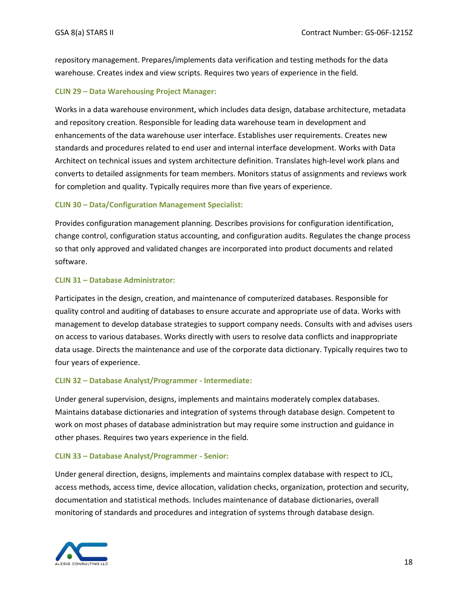repository management. Prepares/implements data verification and testing methods for the data warehouse. Creates index and view scripts. Requires two years of experience in the field.

### **CLIN 29 – Data Warehousing Project Manager:**

Works in a data warehouse environment, which includes data design, database architecture, metadata and repository creation. Responsible for leading data warehouse team in development and enhancements of the data warehouse user interface. Establishes user requirements. Creates new standards and procedures related to end user and internal interface development. Works with Data Architect on technical issues and system architecture definition. Translates high-level work plans and converts to detailed assignments for team members. Monitors status of assignments and reviews work for completion and quality. Typically requires more than five years of experience.

#### **CLIN 30 – Data/Configuration Management Specialist:**

Provides configuration management planning. Describes provisions for configuration identification, change control, configuration status accounting, and configuration audits. Regulates the change process so that only approved and validated changes are incorporated into product documents and related software.

#### **CLIN 31 – Database Administrator:**

Participates in the design, creation, and maintenance of computerized databases. Responsible for quality control and auditing of databases to ensure accurate and appropriate use of data. Works with management to develop database strategies to support company needs. Consults with and advises users on access to various databases. Works directly with users to resolve data conflicts and inappropriate data usage. Directs the maintenance and use of the corporate data dictionary. Typically requires two to four years of experience.

#### **CLIN 32 – Database Analyst/Programmer - Intermediate:**

Under general supervision, designs, implements and maintains moderately complex databases. Maintains database dictionaries and integration of systems through database design. Competent to work on most phases of database administration but may require some instruction and guidance in other phases. Requires two years experience in the field.

#### **CLIN 33 – Database Analyst/Programmer - Senior:**

Under general direction, designs, implements and maintains complex database with respect to JCL, access methods, access time, device allocation, validation checks, organization, protection and security, documentation and statistical methods. Includes maintenance of database dictionaries, overall monitoring of standards and procedures and integration of systems through database design.

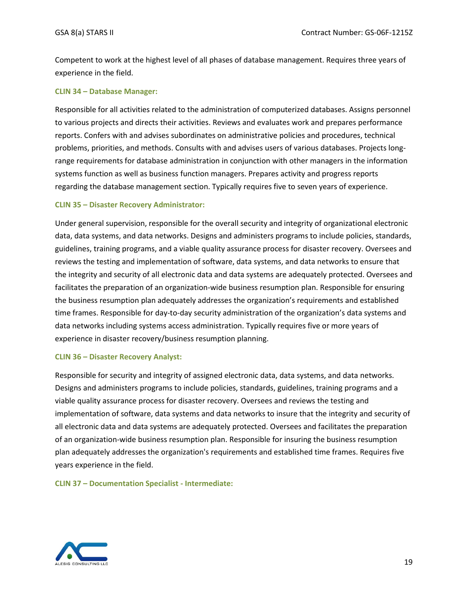Competent to work at the highest level of all phases of database management. Requires three years of experience in the field.

#### **CLIN 34 – Database Manager:**

Responsible for all activities related to the administration of computerized databases. Assigns personnel to various projects and directs their activities. Reviews and evaluates work and prepares performance reports. Confers with and advises subordinates on administrative policies and procedures, technical problems, priorities, and methods. Consults with and advises users of various databases. Projects longrange requirements for database administration in conjunction with other managers in the information systems function as well as business function managers. Prepares activity and progress reports regarding the database management section. Typically requires five to seven years of experience.

#### **CLIN 35 – Disaster Recovery Administrator:**

Under general supervision, responsible for the overall security and integrity of organizational electronic data, data systems, and data networks. Designs and administers programs to include policies, standards, guidelines, training programs, and a viable quality assurance process for disaster recovery. Oversees and reviews the testing and implementation of software, data systems, and data networks to ensure that the integrity and security of all electronic data and data systems are adequately protected. Oversees and facilitates the preparation of an organization-wide business resumption plan. Responsible for ensuring the business resumption plan adequately addresses the organization's requirements and established time frames. Responsible for day-to-day security administration of the organization's data systems and data networks including systems access administration. Typically requires five or more years of experience in disaster recovery/business resumption planning.

#### **CLIN 36 – Disaster Recovery Analyst:**

Responsible for security and integrity of assigned electronic data, data systems, and data networks. Designs and administers programs to include policies, standards, guidelines, training programs and a viable quality assurance process for disaster recovery. Oversees and reviews the testing and implementation of software, data systems and data networks to insure that the integrity and security of all electronic data and data systems are adequately protected. Oversees and facilitates the preparation of an organization-wide business resumption plan. Responsible for insuring the business resumption plan adequately addresses the organization's requirements and established time frames. Requires five years experience in the field.

**CLIN 37 – Documentation Specialist - Intermediate:**

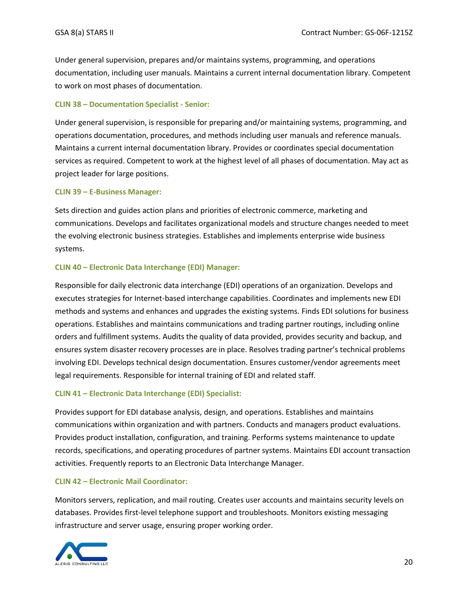Under general supervision, prepares and/or maintains systems, programming, and operations documentation, including user manuals. Maintains a current internal documentation library. Competent to work on most phases of documentation.

#### **CLIN 38 – Documentation Specialist - Senior:**

Under general supervision, is responsible for preparing and/or maintaining systems, programming, and operations documentation, procedures, and methods including user manuals and reference manuals. Maintains a current internal documentation library. Provides or coordinates special documentation services as required. Competent to work at the highest level of all phases of documentation. May act as project leader for large positions.

#### **CLIN 39 – E-Business Manager:**

Sets direction and guides action plans and priorities of electronic commerce, marketing and communications. Develops and facilitates organizational models and structure changes needed to meet the evolving electronic business strategies. Establishes and implements enterprise wide business systems.

#### **CLIN 40 – Electronic Data Interchange (EDI) Manager:**

Responsible for daily electronic data interchange (EDI) operations of an organization. Develops and executes strategies for Internet-based interchange capabilities. Coordinates and implements new EDI methods and systems and enhances and upgrades the existing systems. Finds EDI solutions for business operations. Establishes and maintains communications and trading partner routings, including online orders and fulfillment systems. Audits the quality of data provided, provides security and backup, and ensures system disaster recovery processes are in place. Resolves trading partner's technical problems involving EDI. Develops technical design documentation. Ensures customer/vendor agreements meet legal requirements. Responsible for internal training of EDI and related staff.

#### **CLIN 41 – Electronic Data Interchange (EDI) Specialist:**

Provides support for EDI database analysis, design, and operations. Establishes and maintains communications within organization and with partners. Conducts and managers product evaluations. Provides product installation, configuration, and training. Performs systems maintenance to update records, specifications, and operating procedures of partner systems. Maintains EDI account transaction activities. Frequently reports to an Electronic Data Interchange Manager.

#### **CLIN 42 – Electronic Mail Coordinator:**

Monitors servers, replication, and mail routing. Creates user accounts and maintains security levels on databases. Provides first-level telephone support and troubleshoots. Monitors existing messaging infrastructure and server usage, ensuring proper working order.

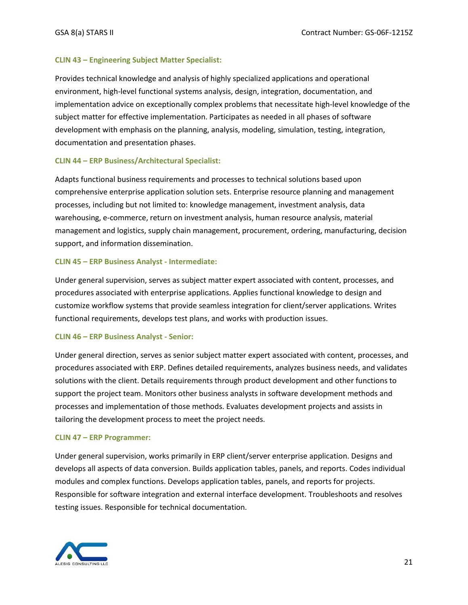#### **CLIN 43 – Engineering Subject Matter Specialist:**

Provides technical knowledge and analysis of highly specialized applications and operational environment, high-level functional systems analysis, design, integration, documentation, and implementation advice on exceptionally complex problems that necessitate high-level knowledge of the subject matter for effective implementation. Participates as needed in all phases of software development with emphasis on the planning, analysis, modeling, simulation, testing, integration, documentation and presentation phases.

#### **CLIN 44 – ERP Business/Architectural Specialist:**

Adapts functional business requirements and processes to technical solutions based upon comprehensive enterprise application solution sets. Enterprise resource planning and management processes, including but not limited to: knowledge management, investment analysis, data warehousing, e-commerce, return on investment analysis, human resource analysis, material management and logistics, supply chain management, procurement, ordering, manufacturing, decision support, and information dissemination.

#### **CLIN 45 – ERP Business Analyst - Intermediate:**

Under general supervision, serves as subject matter expert associated with content, processes, and procedures associated with enterprise applications. Applies functional knowledge to design and customize workflow systems that provide seamless integration for client/server applications. Writes functional requirements, develops test plans, and works with production issues.

#### **CLIN 46 – ERP Business Analyst - Senior:**

Under general direction, serves as senior subject matter expert associated with content, processes, and procedures associated with ERP. Defines detailed requirements, analyzes business needs, and validates solutions with the client. Details requirements through product development and other functions to support the project team. Monitors other business analysts in software development methods and processes and implementation of those methods. Evaluates development projects and assists in tailoring the development process to meet the project needs.

#### **CLIN 47 – ERP Programmer:**

Under general supervision, works primarily in ERP client/server enterprise application. Designs and develops all aspects of data conversion. Builds application tables, panels, and reports. Codes individual modules and complex functions. Develops application tables, panels, and reports for projects. Responsible for software integration and external interface development. Troubleshoots and resolves testing issues. Responsible for technical documentation.

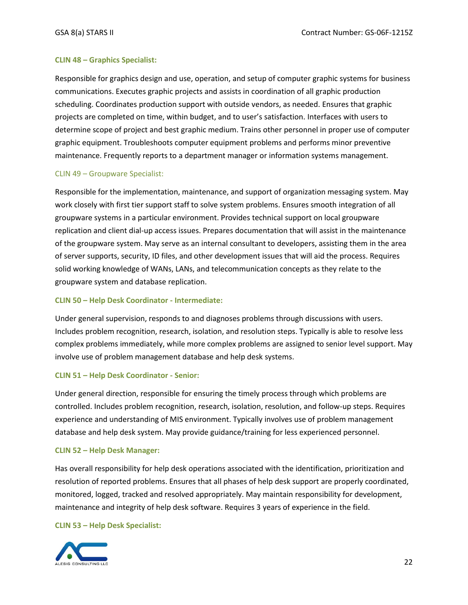#### **CLIN 48 – Graphics Specialist:**

Responsible for graphics design and use, operation, and setup of computer graphic systems for business communications. Executes graphic projects and assists in coordination of all graphic production scheduling. Coordinates production support with outside vendors, as needed. Ensures that graphic projects are completed on time, within budget, and to user's satisfaction. Interfaces with users to determine scope of project and best graphic medium. Trains other personnel in proper use of computer graphic equipment. Troubleshoots computer equipment problems and performs minor preventive maintenance. Frequently reports to a department manager or information systems management.

#### CLIN 49 – Groupware Specialist:

Responsible for the implementation, maintenance, and support of organization messaging system. May work closely with first tier support staff to solve system problems. Ensures smooth integration of all groupware systems in a particular environment. Provides technical support on local groupware replication and client dial-up access issues. Prepares documentation that will assist in the maintenance of the groupware system. May serve as an internal consultant to developers, assisting them in the area of server supports, security, ID files, and other development issues that will aid the process. Requires solid working knowledge of WANs, LANs, and telecommunication concepts as they relate to the groupware system and database replication.

#### **CLIN 50 – Help Desk Coordinator - Intermediate:**

Under general supervision, responds to and diagnoses problems through discussions with users. Includes problem recognition, research, isolation, and resolution steps. Typically is able to resolve less complex problems immediately, while more complex problems are assigned to senior level support. May involve use of problem management database and help desk systems.

#### **CLIN 51 – Help Desk Coordinator - Senior:**

Under general direction, responsible for ensuring the timely process through which problems are controlled. Includes problem recognition, research, isolation, resolution, and follow-up steps. Requires experience and understanding of MIS environment. Typically involves use of problem management database and help desk system. May provide guidance/training for less experienced personnel.

#### **CLIN 52 – Help Desk Manager:**

Has overall responsibility for help desk operations associated with the identification, prioritization and resolution of reported problems. Ensures that all phases of help desk support are properly coordinated, monitored, logged, tracked and resolved appropriately. May maintain responsibility for development, maintenance and integrity of help desk software. Requires 3 years of experience in the field.

#### **CLIN 53 – Help Desk Specialist:**

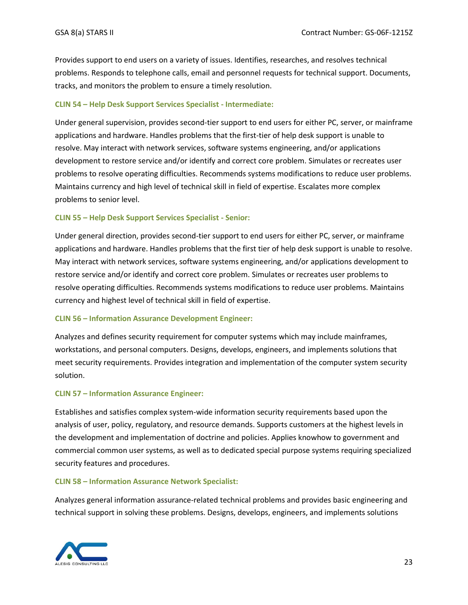Provides support to end users on a variety of issues. Identifies, researches, and resolves technical problems. Responds to telephone calls, email and personnel requests for technical support. Documents, tracks, and monitors the problem to ensure a timely resolution.

#### **CLIN 54 – Help Desk Support Services Specialist - Intermediate:**

Under general supervision, provides second-tier support to end users for either PC, server, or mainframe applications and hardware. Handles problems that the first-tier of help desk support is unable to resolve. May interact with network services, software systems engineering, and/or applications development to restore service and/or identify and correct core problem. Simulates or recreates user problems to resolve operating difficulties. Recommends systems modifications to reduce user problems. Maintains currency and high level of technical skill in field of expertise. Escalates more complex problems to senior level.

#### **CLIN 55 – Help Desk Support Services Specialist - Senior:**

Under general direction, provides second-tier support to end users for either PC, server, or mainframe applications and hardware. Handles problems that the first tier of help desk support is unable to resolve. May interact with network services, software systems engineering, and/or applications development to restore service and/or identify and correct core problem. Simulates or recreates user problems to resolve operating difficulties. Recommends systems modifications to reduce user problems. Maintains currency and highest level of technical skill in field of expertise.

#### **CLIN 56 – Information Assurance Development Engineer:**

Analyzes and defines security requirement for computer systems which may include mainframes, workstations, and personal computers. Designs, develops, engineers, and implements solutions that meet security requirements. Provides integration and implementation of the computer system security solution.

#### **CLIN 57 – Information Assurance Engineer:**

Establishes and satisfies complex system-wide information security requirements based upon the analysis of user, policy, regulatory, and resource demands. Supports customers at the highest levels in the development and implementation of doctrine and policies. Applies knowhow to government and commercial common user systems, as well as to dedicated special purpose systems requiring specialized security features and procedures.

#### **CLIN 58 – Information Assurance Network Specialist:**

Analyzes general information assurance-related technical problems and provides basic engineering and technical support in solving these problems. Designs, develops, engineers, and implements solutions

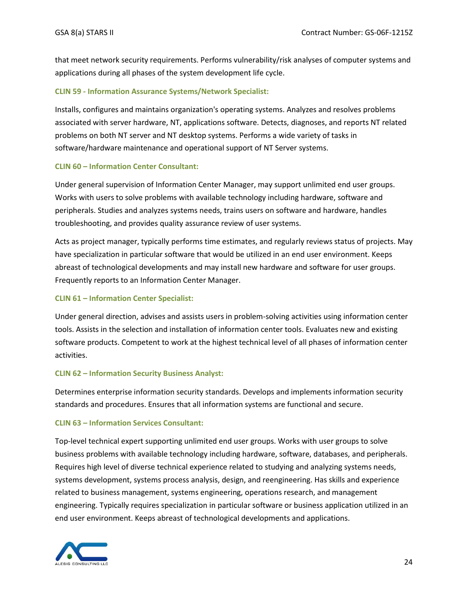that meet network security requirements. Performs vulnerability/risk analyses of computer systems and applications during all phases of the system development life cycle.

#### **CLIN 59 - Information Assurance Systems/Network Specialist:**

Installs, configures and maintains organization's operating systems. Analyzes and resolves problems associated with server hardware, NT, applications software. Detects, diagnoses, and reports NT related problems on both NT server and NT desktop systems. Performs a wide variety of tasks in software/hardware maintenance and operational support of NT Server systems.

#### **CLIN 60 – Information Center Consultant:**

Under general supervision of Information Center Manager, may support unlimited end user groups. Works with users to solve problems with available technology including hardware, software and peripherals. Studies and analyzes systems needs, trains users on software and hardware, handles troubleshooting, and provides quality assurance review of user systems.

Acts as project manager, typically performs time estimates, and regularly reviews status of projects. May have specialization in particular software that would be utilized in an end user environment. Keeps abreast of technological developments and may install new hardware and software for user groups. Frequently reports to an Information Center Manager.

### **CLIN 61 – Information Center Specialist:**

Under general direction, advises and assists users in problem-solving activities using information center tools. Assists in the selection and installation of information center tools. Evaluates new and existing software products. Competent to work at the highest technical level of all phases of information center activities.

### **CLIN 62 – Information Security Business Analyst:**

Determines enterprise information security standards. Develops and implements information security standards and procedures. Ensures that all information systems are functional and secure.

### **CLIN 63 – Information Services Consultant:**

Top-level technical expert supporting unlimited end user groups. Works with user groups to solve business problems with available technology including hardware, software, databases, and peripherals. Requires high level of diverse technical experience related to studying and analyzing systems needs, systems development, systems process analysis, design, and reengineering. Has skills and experience related to business management, systems engineering, operations research, and management engineering. Typically requires specialization in particular software or business application utilized in an end user environment. Keeps abreast of technological developments and applications.

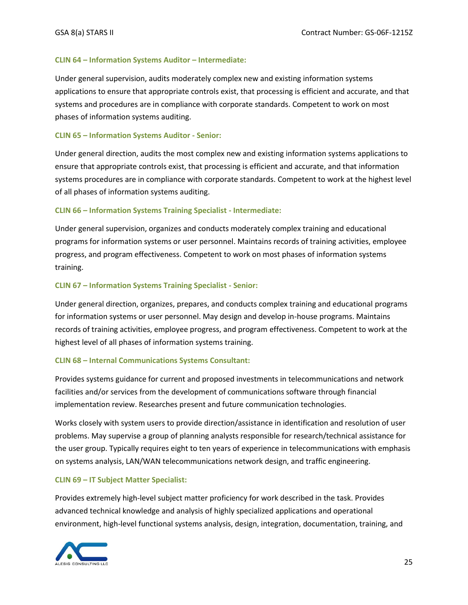#### **CLIN 64 – Information Systems Auditor – Intermediate:**

Under general supervision, audits moderately complex new and existing information systems applications to ensure that appropriate controls exist, that processing is efficient and accurate, and that systems and procedures are in compliance with corporate standards. Competent to work on most phases of information systems auditing.

#### **CLIN 65 – Information Systems Auditor - Senior:**

Under general direction, audits the most complex new and existing information systems applications to ensure that appropriate controls exist, that processing is efficient and accurate, and that information systems procedures are in compliance with corporate standards. Competent to work at the highest level of all phases of information systems auditing.

#### **CLIN 66 – Information Systems Training Specialist - Intermediate:**

Under general supervision, organizes and conducts moderately complex training and educational programs for information systems or user personnel. Maintains records of training activities, employee progress, and program effectiveness. Competent to work on most phases of information systems training.

#### **CLIN 67 – Information Systems Training Specialist - Senior:**

Under general direction, organizes, prepares, and conducts complex training and educational programs for information systems or user personnel. May design and develop in-house programs. Maintains records of training activities, employee progress, and program effectiveness. Competent to work at the highest level of all phases of information systems training.

#### **CLIN 68 – Internal Communications Systems Consultant:**

Provides systems guidance for current and proposed investments in telecommunications and network facilities and/or services from the development of communications software through financial implementation review. Researches present and future communication technologies.

Works closely with system users to provide direction/assistance in identification and resolution of user problems. May supervise a group of planning analysts responsible for research/technical assistance for the user group. Typically requires eight to ten years of experience in telecommunications with emphasis on systems analysis, LAN/WAN telecommunications network design, and traffic engineering.

#### **CLIN 69 – IT Subject Matter Specialist:**

Provides extremely high-level subject matter proficiency for work described in the task. Provides advanced technical knowledge and analysis of highly specialized applications and operational environment, high-level functional systems analysis, design, integration, documentation, training, and

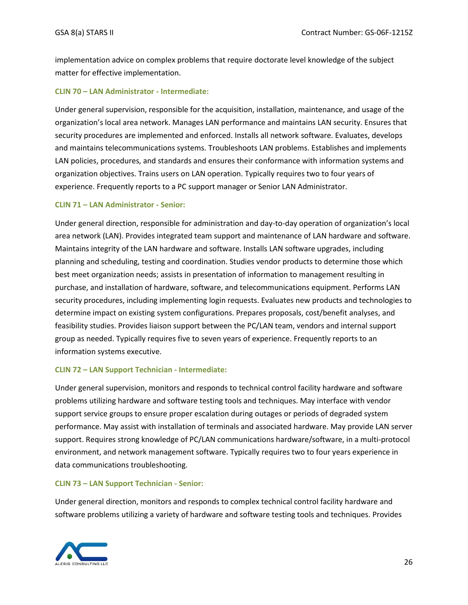implementation advice on complex problems that require doctorate level knowledge of the subject matter for effective implementation.

#### **CLIN 70 – LAN Administrator - Intermediate:**

Under general supervision, responsible for the acquisition, installation, maintenance, and usage of the organization's local area network. Manages LAN performance and maintains LAN security. Ensures that security procedures are implemented and enforced. Installs all network software. Evaluates, develops and maintains telecommunications systems. Troubleshoots LAN problems. Establishes and implements LAN policies, procedures, and standards and ensures their conformance with information systems and organization objectives. Trains users on LAN operation. Typically requires two to four years of experience. Frequently reports to a PC support manager or Senior LAN Administrator.

#### **CLIN 71 – LAN Administrator - Senior:**

Under general direction, responsible for administration and day-to-day operation of organization's local area network (LAN). Provides integrated team support and maintenance of LAN hardware and software. Maintains integrity of the LAN hardware and software. Installs LAN software upgrades, including planning and scheduling, testing and coordination. Studies vendor products to determine those which best meet organization needs; assists in presentation of information to management resulting in purchase, and installation of hardware, software, and telecommunications equipment. Performs LAN security procedures, including implementing login requests. Evaluates new products and technologies to determine impact on existing system configurations. Prepares proposals, cost/benefit analyses, and feasibility studies. Provides liaison support between the PC/LAN team, vendors and internal support group as needed. Typically requires five to seven years of experience. Frequently reports to an information systems executive.

#### **CLIN 72 – LAN Support Technician - Intermediate:**

Under general supervision, monitors and responds to technical control facility hardware and software problems utilizing hardware and software testing tools and techniques. May interface with vendor support service groups to ensure proper escalation during outages or periods of degraded system performance. May assist with installation of terminals and associated hardware. May provide LAN server support. Requires strong knowledge of PC/LAN communications hardware/software, in a multi-protocol environment, and network management software. Typically requires two to four years experience in data communications troubleshooting.

#### **CLIN 73 – LAN Support Technician - Senior:**

Under general direction, monitors and responds to complex technical control facility hardware and software problems utilizing a variety of hardware and software testing tools and techniques. Provides

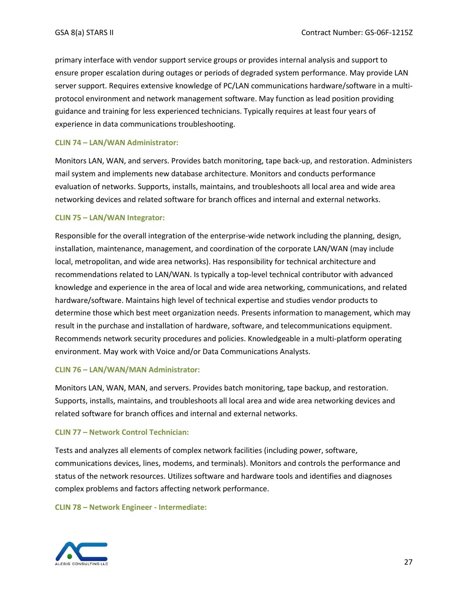primary interface with vendor support service groups or provides internal analysis and support to ensure proper escalation during outages or periods of degraded system performance. May provide LAN server support. Requires extensive knowledge of PC/LAN communications hardware/software in a multiprotocol environment and network management software. May function as lead position providing guidance and training for less experienced technicians. Typically requires at least four years of experience in data communications troubleshooting.

#### **CLIN 74 – LAN/WAN Administrator:**

Monitors LAN, WAN, and servers. Provides batch monitoring, tape back-up, and restoration. Administers mail system and implements new database architecture. Monitors and conducts performance evaluation of networks. Supports, installs, maintains, and troubleshoots all local area and wide area networking devices and related software for branch offices and internal and external networks.

#### **CLIN 75 – LAN/WAN Integrator:**

Responsible for the overall integration of the enterprise-wide network including the planning, design, installation, maintenance, management, and coordination of the corporate LAN/WAN (may include local, metropolitan, and wide area networks). Has responsibility for technical architecture and recommendations related to LAN/WAN. Is typically a top-level technical contributor with advanced knowledge and experience in the area of local and wide area networking, communications, and related hardware/software. Maintains high level of technical expertise and studies vendor products to determine those which best meet organization needs. Presents information to management, which may result in the purchase and installation of hardware, software, and telecommunications equipment. Recommends network security procedures and policies. Knowledgeable in a multi-platform operating environment. May work with Voice and/or Data Communications Analysts.

#### **CLIN 76 – LAN/WAN/MAN Administrator:**

Monitors LAN, WAN, MAN, and servers. Provides batch monitoring, tape backup, and restoration. Supports, installs, maintains, and troubleshoots all local area and wide area networking devices and related software for branch offices and internal and external networks.

#### **CLIN 77 – Network Control Technician:**

Tests and analyzes all elements of complex network facilities (including power, software, communications devices, lines, modems, and terminals). Monitors and controls the performance and status of the network resources. Utilizes software and hardware tools and identifies and diagnoses complex problems and factors affecting network performance.

#### **CLIN 78 – Network Engineer - Intermediate:**

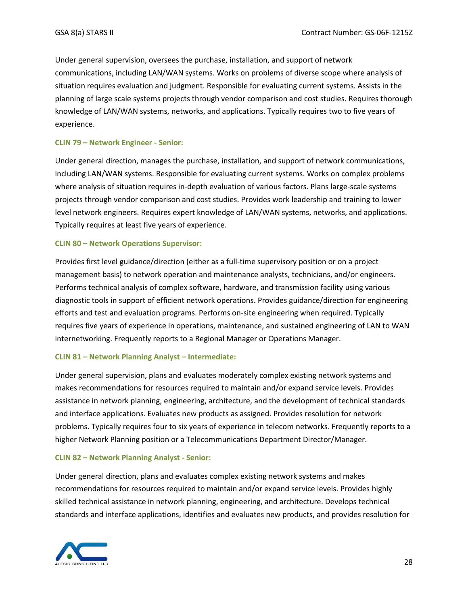Under general supervision, oversees the purchase, installation, and support of network communications, including LAN/WAN systems. Works on problems of diverse scope where analysis of situation requires evaluation and judgment. Responsible for evaluating current systems. Assists in the planning of large scale systems projects through vendor comparison and cost studies. Requires thorough knowledge of LAN/WAN systems, networks, and applications. Typically requires two to five years of experience.

#### **CLIN 79 – Network Engineer - Senior:**

Under general direction, manages the purchase, installation, and support of network communications, including LAN/WAN systems. Responsible for evaluating current systems. Works on complex problems where analysis of situation requires in-depth evaluation of various factors. Plans large-scale systems projects through vendor comparison and cost studies. Provides work leadership and training to lower level network engineers. Requires expert knowledge of LAN/WAN systems, networks, and applications. Typically requires at least five years of experience.

#### **CLIN 80 – Network Operations Supervisor:**

Provides first level guidance/direction (either as a full-time supervisory position or on a project management basis) to network operation and maintenance analysts, technicians, and/or engineers. Performs technical analysis of complex software, hardware, and transmission facility using various diagnostic tools in support of efficient network operations. Provides guidance/direction for engineering efforts and test and evaluation programs. Performs on-site engineering when required. Typically requires five years of experience in operations, maintenance, and sustained engineering of LAN to WAN internetworking. Frequently reports to a Regional Manager or Operations Manager.

#### **CLIN 81 – Network Planning Analyst – Intermediate:**

Under general supervision, plans and evaluates moderately complex existing network systems and makes recommendations for resources required to maintain and/or expand service levels. Provides assistance in network planning, engineering, architecture, and the development of technical standards and interface applications. Evaluates new products as assigned. Provides resolution for network problems. Typically requires four to six years of experience in telecom networks. Frequently reports to a higher Network Planning position or a Telecommunications Department Director/Manager.

#### **CLIN 82 – Network Planning Analyst - Senior:**

Under general direction, plans and evaluates complex existing network systems and makes recommendations for resources required to maintain and/or expand service levels. Provides highly skilled technical assistance in network planning, engineering, and architecture. Develops technical standards and interface applications, identifies and evaluates new products, and provides resolution for

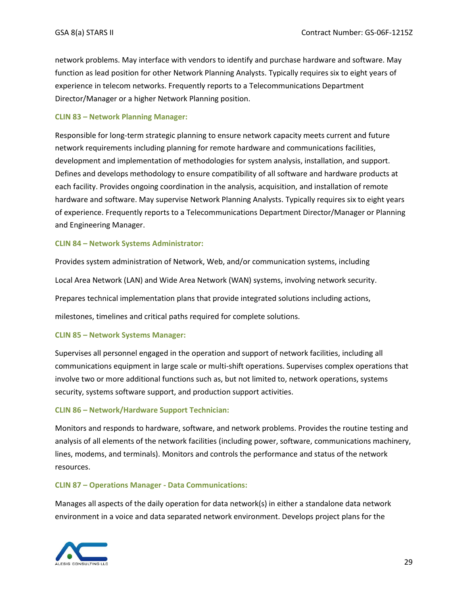network problems. May interface with vendors to identify and purchase hardware and software. May function as lead position for other Network Planning Analysts. Typically requires six to eight years of experience in telecom networks. Frequently reports to a Telecommunications Department Director/Manager or a higher Network Planning position.

#### **CLIN 83 – Network Planning Manager:**

Responsible for long-term strategic planning to ensure network capacity meets current and future network requirements including planning for remote hardware and communications facilities, development and implementation of methodologies for system analysis, installation, and support. Defines and develops methodology to ensure compatibility of all software and hardware products at each facility. Provides ongoing coordination in the analysis, acquisition, and installation of remote hardware and software. May supervise Network Planning Analysts. Typically requires six to eight years of experience. Frequently reports to a Telecommunications Department Director/Manager or Planning and Engineering Manager.

#### **CLIN 84 – Network Systems Administrator:**

Provides system administration of Network, Web, and/or communication systems, including Local Area Network (LAN) and Wide Area Network (WAN) systems, involving network security. Prepares technical implementation plans that provide integrated solutions including actions, milestones, timelines and critical paths required for complete solutions.

#### **CLIN 85 – Network Systems Manager:**

Supervises all personnel engaged in the operation and support of network facilities, including all communications equipment in large scale or multi-shift operations. Supervises complex operations that involve two or more additional functions such as, but not limited to, network operations, systems security, systems software support, and production support activities.

#### **CLIN 86 – Network/Hardware Support Technician:**

Monitors and responds to hardware, software, and network problems. Provides the routine testing and analysis of all elements of the network facilities (including power, software, communications machinery, lines, modems, and terminals). Monitors and controls the performance and status of the network resources.

#### **CLIN 87 – Operations Manager - Data Communications:**

Manages all aspects of the daily operation for data network(s) in either a standalone data network environment in a voice and data separated network environment. Develops project plans for the

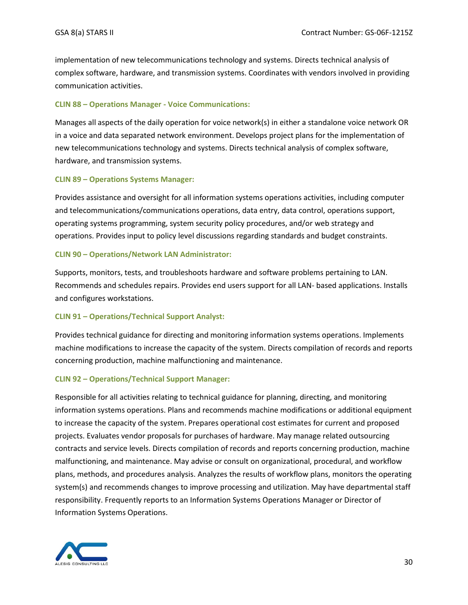implementation of new telecommunications technology and systems. Directs technical analysis of complex software, hardware, and transmission systems. Coordinates with vendors involved in providing communication activities.

#### **CLIN 88 – Operations Manager - Voice Communications:**

Manages all aspects of the daily operation for voice network(s) in either a standalone voice network OR in a voice and data separated network environment. Develops project plans for the implementation of new telecommunications technology and systems. Directs technical analysis of complex software, hardware, and transmission systems.

#### **CLIN 89 – Operations Systems Manager:**

Provides assistance and oversight for all information systems operations activities, including computer and telecommunications/communications operations, data entry, data control, operations support, operating systems programming, system security policy procedures, and/or web strategy and operations. Provides input to policy level discussions regarding standards and budget constraints.

#### **CLIN 90 – Operations/Network LAN Administrator:**

Supports, monitors, tests, and troubleshoots hardware and software problems pertaining to LAN. Recommends and schedules repairs. Provides end users support for all LAN- based applications. Installs and configures workstations.

#### **CLIN 91 – Operations/Technical Support Analyst:**

Provides technical guidance for directing and monitoring information systems operations. Implements machine modifications to increase the capacity of the system. Directs compilation of records and reports concerning production, machine malfunctioning and maintenance.

#### **CLIN 92 – Operations/Technical Support Manager:**

Responsible for all activities relating to technical guidance for planning, directing, and monitoring information systems operations. Plans and recommends machine modifications or additional equipment to increase the capacity of the system. Prepares operational cost estimates for current and proposed projects. Evaluates vendor proposals for purchases of hardware. May manage related outsourcing contracts and service levels. Directs compilation of records and reports concerning production, machine malfunctioning, and maintenance. May advise or consult on organizational, procedural, and workflow plans, methods, and procedures analysis. Analyzes the results of workflow plans, monitors the operating system(s) and recommends changes to improve processing and utilization. May have departmental staff responsibility. Frequently reports to an Information Systems Operations Manager or Director of Information Systems Operations.

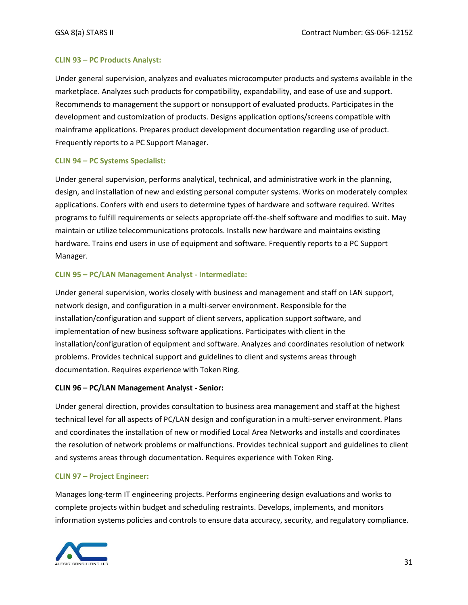#### **CLIN 93 – PC Products Analyst:**

Under general supervision, analyzes and evaluates microcomputer products and systems available in the marketplace. Analyzes such products for compatibility, expandability, and ease of use and support. Recommends to management the support or nonsupport of evaluated products. Participates in the development and customization of products. Designs application options/screens compatible with mainframe applications. Prepares product development documentation regarding use of product. Frequently reports to a PC Support Manager.

#### **CLIN 94 – PC Systems Specialist:**

Under general supervision, performs analytical, technical, and administrative work in the planning, design, and installation of new and existing personal computer systems. Works on moderately complex applications. Confers with end users to determine types of hardware and software required. Writes programs to fulfill requirements or selects appropriate off-the-shelf software and modifies to suit. May maintain or utilize telecommunications protocols. Installs new hardware and maintains existing hardware. Trains end users in use of equipment and software. Frequently reports to a PC Support Manager.

#### **CLIN 95 – PC/LAN Management Analyst - Intermediate:**

Under general supervision, works closely with business and management and staff on LAN support, network design, and configuration in a multi-server environment. Responsible for the installation/configuration and support of client servers, application support software, and implementation of new business software applications. Participates with client in the installation/configuration of equipment and software. Analyzes and coordinates resolution of network problems. Provides technical support and guidelines to client and systems areas through documentation. Requires experience with Token Ring.

#### **CLIN 96 – PC/LAN Management Analyst - Senior:**

Under general direction, provides consultation to business area management and staff at the highest technical level for all aspects of PC/LAN design and configuration in a multi-server environment. Plans and coordinates the installation of new or modified Local Area Networks and installs and coordinates the resolution of network problems or malfunctions. Provides technical support and guidelines to client and systems areas through documentation. Requires experience with Token Ring.

#### **CLIN 97 – Project Engineer:**

Manages long-term IT engineering projects. Performs engineering design evaluations and works to complete projects within budget and scheduling restraints. Develops, implements, and monitors information systems policies and controls to ensure data accuracy, security, and regulatory compliance.

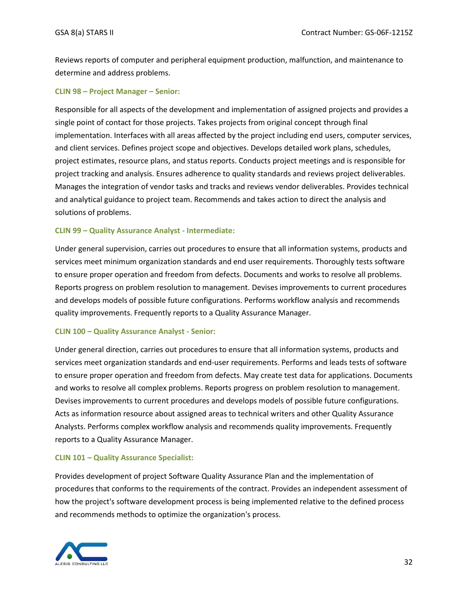Reviews reports of computer and peripheral equipment production, malfunction, and maintenance to determine and address problems.

#### **CLIN 98 – Project Manager – Senior:**

Responsible for all aspects of the development and implementation of assigned projects and provides a single point of contact for those projects. Takes projects from original concept through final implementation. Interfaces with all areas affected by the project including end users, computer services, and client services. Defines project scope and objectives. Develops detailed work plans, schedules, project estimates, resource plans, and status reports. Conducts project meetings and is responsible for project tracking and analysis. Ensures adherence to quality standards and reviews project deliverables. Manages the integration of vendor tasks and tracks and reviews vendor deliverables. Provides technical and analytical guidance to project team. Recommends and takes action to direct the analysis and solutions of problems.

#### **CLIN 99 – Quality Assurance Analyst - Intermediate:**

Under general supervision, carries out procedures to ensure that all information systems, products and services meet minimum organization standards and end user requirements. Thoroughly tests software to ensure proper operation and freedom from defects. Documents and works to resolve all problems. Reports progress on problem resolution to management. Devises improvements to current procedures and develops models of possible future configurations. Performs workflow analysis and recommends quality improvements. Frequently reports to a Quality Assurance Manager.

#### **CLIN 100 – Quality Assurance Analyst - Senior:**

Under general direction, carries out procedures to ensure that all information systems, products and services meet organization standards and end-user requirements. Performs and leads tests of software to ensure proper operation and freedom from defects. May create test data for applications. Documents and works to resolve all complex problems. Reports progress on problem resolution to management. Devises improvements to current procedures and develops models of possible future configurations. Acts as information resource about assigned areas to technical writers and other Quality Assurance Analysts. Performs complex workflow analysis and recommends quality improvements. Frequently reports to a Quality Assurance Manager.

#### **CLIN 101 – Quality Assurance Specialist:**

Provides development of project Software Quality Assurance Plan and the implementation of procedures that conforms to the requirements of the contract. Provides an independent assessment of how the project's software development process is being implemented relative to the defined process and recommends methods to optimize the organization's process.

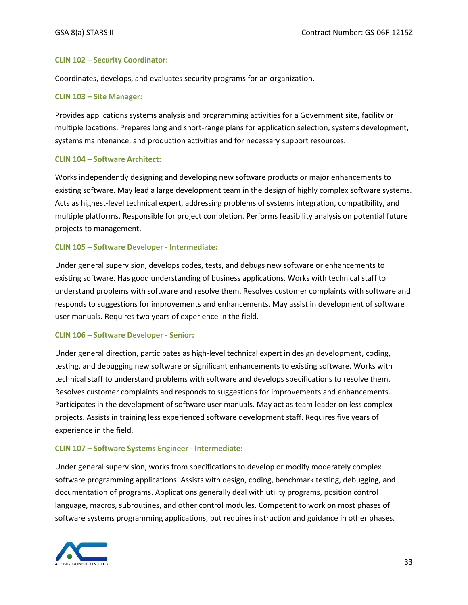#### **CLIN 102 – Security Coordinator:**

Coordinates, develops, and evaluates security programs for an organization.

#### **CLIN 103 – Site Manager:**

Provides applications systems analysis and programming activities for a Government site, facility or multiple locations. Prepares long and short-range plans for application selection, systems development, systems maintenance, and production activities and for necessary support resources.

#### **CLIN 104 – Software Architect:**

Works independently designing and developing new software products or major enhancements to existing software. May lead a large development team in the design of highly complex software systems. Acts as highest-level technical expert, addressing problems of systems integration, compatibility, and multiple platforms. Responsible for project completion. Performs feasibility analysis on potential future projects to management.

#### **CLIN 105 – Software Developer - Intermediate:**

Under general supervision, develops codes, tests, and debugs new software or enhancements to existing software. Has good understanding of business applications. Works with technical staff to understand problems with software and resolve them. Resolves customer complaints with software and responds to suggestions for improvements and enhancements. May assist in development of software user manuals. Requires two years of experience in the field.

#### **CLIN 106 – Software Developer - Senior:**

Under general direction, participates as high-level technical expert in design development, coding, testing, and debugging new software or significant enhancements to existing software. Works with technical staff to understand problems with software and develops specifications to resolve them. Resolves customer complaints and responds to suggestions for improvements and enhancements. Participates in the development of software user manuals. May act as team leader on less complex projects. Assists in training less experienced software development staff. Requires five years of experience in the field.

#### **CLIN 107 – Software Systems Engineer - Intermediate:**

Under general supervision, works from specifications to develop or modify moderately complex software programming applications. Assists with design, coding, benchmark testing, debugging, and documentation of programs. Applications generally deal with utility programs, position control language, macros, subroutines, and other control modules. Competent to work on most phases of software systems programming applications, but requires instruction and guidance in other phases.

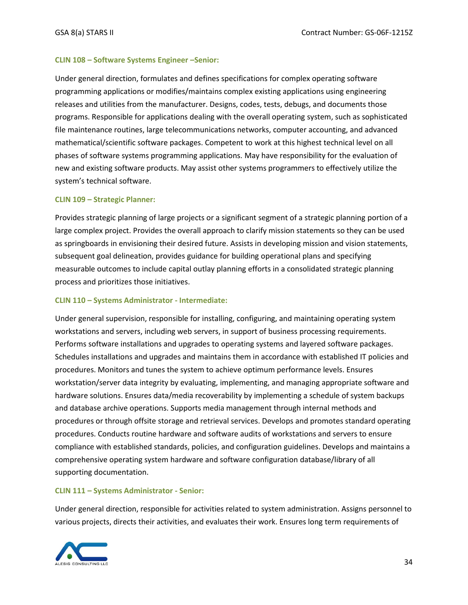#### **CLIN 108 – Software Systems Engineer –Senior:**

Under general direction, formulates and defines specifications for complex operating software programming applications or modifies/maintains complex existing applications using engineering releases and utilities from the manufacturer. Designs, codes, tests, debugs, and documents those programs. Responsible for applications dealing with the overall operating system, such as sophisticated file maintenance routines, large telecommunications networks, computer accounting, and advanced mathematical/scientific software packages. Competent to work at this highest technical level on all phases of software systems programming applications. May have responsibility for the evaluation of new and existing software products. May assist other systems programmers to effectively utilize the system's technical software.

#### **CLIN 109 – Strategic Planner:**

Provides strategic planning of large projects or a significant segment of a strategic planning portion of a large complex project. Provides the overall approach to clarify mission statements so they can be used as springboards in envisioning their desired future. Assists in developing mission and vision statements, subsequent goal delineation, provides guidance for building operational plans and specifying measurable outcomes to include capital outlay planning efforts in a consolidated strategic planning process and prioritizes those initiatives.

#### **CLIN 110 – Systems Administrator - Intermediate:**

Under general supervision, responsible for installing, configuring, and maintaining operating system workstations and servers, including web servers, in support of business processing requirements. Performs software installations and upgrades to operating systems and layered software packages. Schedules installations and upgrades and maintains them in accordance with established IT policies and procedures. Monitors and tunes the system to achieve optimum performance levels. Ensures workstation/server data integrity by evaluating, implementing, and managing appropriate software and hardware solutions. Ensures data/media recoverability by implementing a schedule of system backups and database archive operations. Supports media management through internal methods and procedures or through offsite storage and retrieval services. Develops and promotes standard operating procedures. Conducts routine hardware and software audits of workstations and servers to ensure compliance with established standards, policies, and configuration guidelines. Develops and maintains a comprehensive operating system hardware and software configuration database/library of all supporting documentation.

#### **CLIN 111 – Systems Administrator - Senior:**

Under general direction, responsible for activities related to system administration. Assigns personnel to various projects, directs their activities, and evaluates their work. Ensures long term requirements of

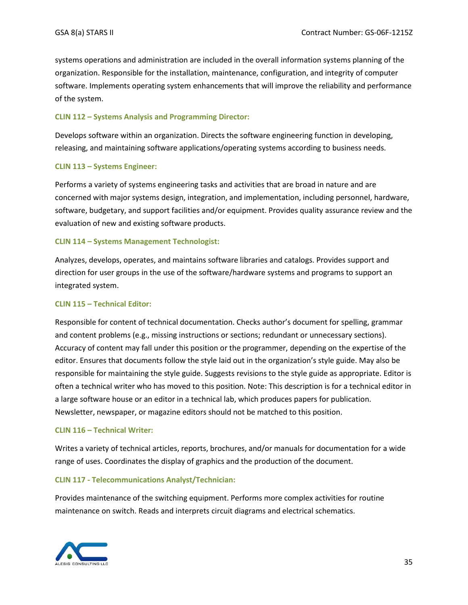systems operations and administration are included in the overall information systems planning of the organization. Responsible for the installation, maintenance, configuration, and integrity of computer software. Implements operating system enhancements that will improve the reliability and performance of the system.

#### **CLIN 112 – Systems Analysis and Programming Director:**

Develops software within an organization. Directs the software engineering function in developing, releasing, and maintaining software applications/operating systems according to business needs.

#### **CLIN 113 – Systems Engineer:**

Performs a variety of systems engineering tasks and activities that are broad in nature and are concerned with major systems design, integration, and implementation, including personnel, hardware, software, budgetary, and support facilities and/or equipment. Provides quality assurance review and the evaluation of new and existing software products.

#### **CLIN 114 – Systems Management Technologist:**

Analyzes, develops, operates, and maintains software libraries and catalogs. Provides support and direction for user groups in the use of the software/hardware systems and programs to support an integrated system.

#### **CLIN 115 – Technical Editor:**

Responsible for content of technical documentation. Checks author's document for spelling, grammar and content problems (e.g., missing instructions or sections; redundant or unnecessary sections). Accuracy of content may fall under this position or the programmer, depending on the expertise of the editor. Ensures that documents follow the style laid out in the organization's style guide. May also be responsible for maintaining the style guide. Suggests revisions to the style guide as appropriate. Editor is often a technical writer who has moved to this position. Note: This description is for a technical editor in a large software house or an editor in a technical lab, which produces papers for publication. Newsletter, newspaper, or magazine editors should not be matched to this position.

#### **CLIN 116 – Technical Writer:**

Writes a variety of technical articles, reports, brochures, and/or manuals for documentation for a wide range of uses. Coordinates the display of graphics and the production of the document.

#### **CLIN 117 - Telecommunications Analyst/Technician:**

Provides maintenance of the switching equipment. Performs more complex activities for routine maintenance on switch. Reads and interprets circuit diagrams and electrical schematics.

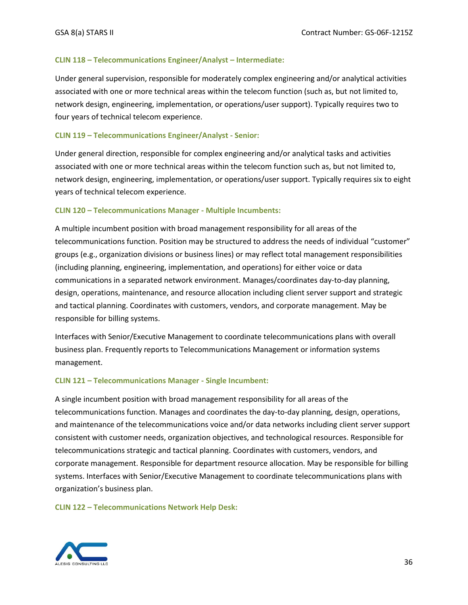#### **CLIN 118 – Telecommunications Engineer/Analyst – Intermediate:**

Under general supervision, responsible for moderately complex engineering and/or analytical activities associated with one or more technical areas within the telecom function (such as, but not limited to, network design, engineering, implementation, or operations/user support). Typically requires two to four years of technical telecom experience.

#### **CLIN 119 – Telecommunications Engineer/Analyst - Senior:**

Under general direction, responsible for complex engineering and/or analytical tasks and activities associated with one or more technical areas within the telecom function such as, but not limited to, network design, engineering, implementation, or operations/user support. Typically requires six to eight years of technical telecom experience.

#### **CLIN 120 – Telecommunications Manager - Multiple Incumbents:**

A multiple incumbent position with broad management responsibility for all areas of the telecommunications function. Position may be structured to address the needs of individual "customer" groups (e.g., organization divisions or business lines) or may reflect total management responsibilities (including planning, engineering, implementation, and operations) for either voice or data communications in a separated network environment. Manages/coordinates day-to-day planning, design, operations, maintenance, and resource allocation including client server support and strategic and tactical planning. Coordinates with customers, vendors, and corporate management. May be responsible for billing systems.

Interfaces with Senior/Executive Management to coordinate telecommunications plans with overall business plan. Frequently reports to Telecommunications Management or information systems management.

#### **CLIN 121 – Telecommunications Manager - Single Incumbent:**

A single incumbent position with broad management responsibility for all areas of the telecommunications function. Manages and coordinates the day-to-day planning, design, operations, and maintenance of the telecommunications voice and/or data networks including client server support consistent with customer needs, organization objectives, and technological resources. Responsible for telecommunications strategic and tactical planning. Coordinates with customers, vendors, and corporate management. Responsible for department resource allocation. May be responsible for billing systems. Interfaces with Senior/Executive Management to coordinate telecommunications plans with organization's business plan.

**CLIN 122 – Telecommunications Network Help Desk:**

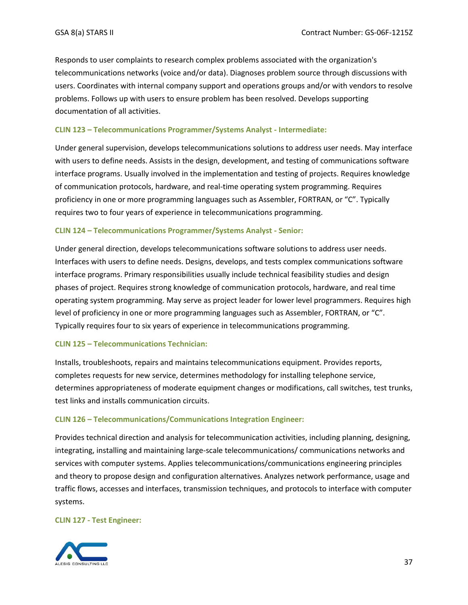Responds to user complaints to research complex problems associated with the organization's telecommunications networks (voice and/or data). Diagnoses problem source through discussions with users. Coordinates with internal company support and operations groups and/or with vendors to resolve problems. Follows up with users to ensure problem has been resolved. Develops supporting documentation of all activities.

#### **CLIN 123 – Telecommunications Programmer/Systems Analyst - Intermediate:**

Under general supervision, develops telecommunications solutions to address user needs. May interface with users to define needs. Assists in the design, development, and testing of communications software interface programs. Usually involved in the implementation and testing of projects. Requires knowledge of communication protocols, hardware, and real-time operating system programming. Requires proficiency in one or more programming languages such as Assembler, FORTRAN, or "C". Typically requires two to four years of experience in telecommunications programming.

#### **CLIN 124 – Telecommunications Programmer/Systems Analyst - Senior:**

Under general direction, develops telecommunications software solutions to address user needs. Interfaces with users to define needs. Designs, develops, and tests complex communications software interface programs. Primary responsibilities usually include technical feasibility studies and design phases of project. Requires strong knowledge of communication protocols, hardware, and real time operating system programming. May serve as project leader for lower level programmers. Requires high level of proficiency in one or more programming languages such as Assembler, FORTRAN, or "C". Typically requires four to six years of experience in telecommunications programming.

#### **CLIN 125 – Telecommunications Technician:**

Installs, troubleshoots, repairs and maintains telecommunications equipment. Provides reports, completes requests for new service, determines methodology for installing telephone service, determines appropriateness of moderate equipment changes or modifications, call switches, test trunks, test links and installs communication circuits.

#### **CLIN 126 – Telecommunications/Communications Integration Engineer:**

Provides technical direction and analysis for telecommunication activities, including planning, designing, integrating, installing and maintaining large-scale telecommunications/ communications networks and services with computer systems. Applies telecommunications/communications engineering principles and theory to propose design and configuration alternatives. Analyzes network performance, usage and traffic flows, accesses and interfaces, transmission techniques, and protocols to interface with computer systems.

#### **CLIN 127 - Test Engineer:**

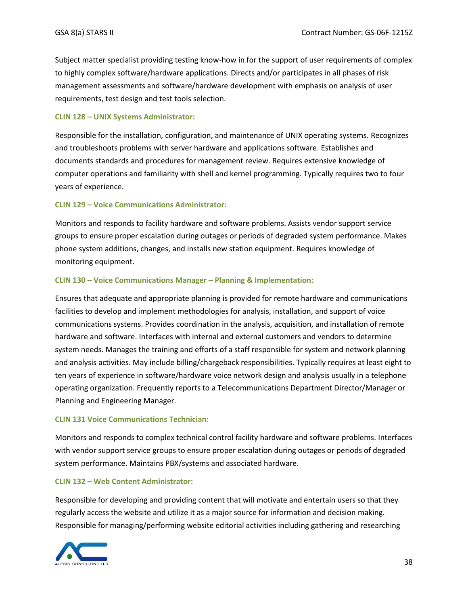Subject matter specialist providing testing know-how in for the support of user requirements of complex to highly complex software/hardware applications. Directs and/or participates in all phases of risk management assessments and software/hardware development with emphasis on analysis of user requirements, test design and test tools selection.

#### **CLIN 128 – UNIX Systems Administrator:**

Responsible for the installation, configuration, and maintenance of UNIX operating systems. Recognizes and troubleshoots problems with server hardware and applications software. Establishes and documents standards and procedures for management review. Requires extensive knowledge of computer operations and familiarity with shell and kernel programming. Typically requires two to four years of experience.

#### **CLIN 129 – Voice Communications Administrator:**

Monitors and responds to facility hardware and software problems. Assists vendor support service groups to ensure proper escalation during outages or periods of degraded system performance. Makes phone system additions, changes, and installs new station equipment. Requires knowledge of monitoring equipment.

#### **CLIN 130 – Voice Communications Manager – Planning & Implementation:**

Ensures that adequate and appropriate planning is provided for remote hardware and communications facilities to develop and implement methodologies for analysis, installation, and support of voice communications systems. Provides coordination in the analysis, acquisition, and installation of remote hardware and software. Interfaces with internal and external customers and vendors to determine system needs. Manages the training and efforts of a staff responsible for system and network planning and analysis activities. May include billing/chargeback responsibilities. Typically requires at least eight to ten years of experience in software/hardware voice network design and analysis usually in a telephone operating organization. Frequently reports to a Telecommunications Department Director/Manager or Planning and Engineering Manager.

#### **CLIN 131 Voice Communications Technician:**

Monitors and responds to complex technical control facility hardware and software problems. Interfaces with vendor support service groups to ensure proper escalation during outages or periods of degraded system performance. Maintains PBX/systems and associated hardware.

#### **CLIN 132 – Web Content Administrator:**

Responsible for developing and providing content that will motivate and entertain users so that they regularly access the website and utilize it as a major source for information and decision making. Responsible for managing/performing website editorial activities including gathering and researching

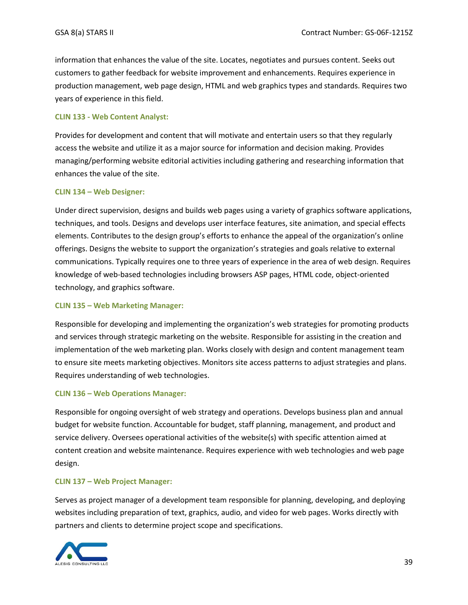information that enhances the value of the site. Locates, negotiates and pursues content. Seeks out customers to gather feedback for website improvement and enhancements. Requires experience in production management, web page design, HTML and web graphics types and standards. Requires two years of experience in this field.

#### **CLIN 133 - Web Content Analyst:**

Provides for development and content that will motivate and entertain users so that they regularly access the website and utilize it as a major source for information and decision making. Provides managing/performing website editorial activities including gathering and researching information that enhances the value of the site.

#### **CLIN 134 – Web Designer:**

Under direct supervision, designs and builds web pages using a variety of graphics software applications, techniques, and tools. Designs and develops user interface features, site animation, and special effects elements. Contributes to the design group's efforts to enhance the appeal of the organization's online offerings. Designs the website to support the organization's strategies and goals relative to external communications. Typically requires one to three years of experience in the area of web design. Requires knowledge of web-based technologies including browsers ASP pages, HTML code, object-oriented technology, and graphics software.

#### **CLIN 135 – Web Marketing Manager:**

Responsible for developing and implementing the organization's web strategies for promoting products and services through strategic marketing on the website. Responsible for assisting in the creation and implementation of the web marketing plan. Works closely with design and content management team to ensure site meets marketing objectives. Monitors site access patterns to adjust strategies and plans. Requires understanding of web technologies.

#### **CLIN 136 – Web Operations Manager:**

Responsible for ongoing oversight of web strategy and operations. Develops business plan and annual budget for website function. Accountable for budget, staff planning, management, and product and service delivery. Oversees operational activities of the website(s) with specific attention aimed at content creation and website maintenance. Requires experience with web technologies and web page design.

#### **CLIN 137 – Web Project Manager:**

Serves as project manager of a development team responsible for planning, developing, and deploying websites including preparation of text, graphics, audio, and video for web pages. Works directly with partners and clients to determine project scope and specifications.

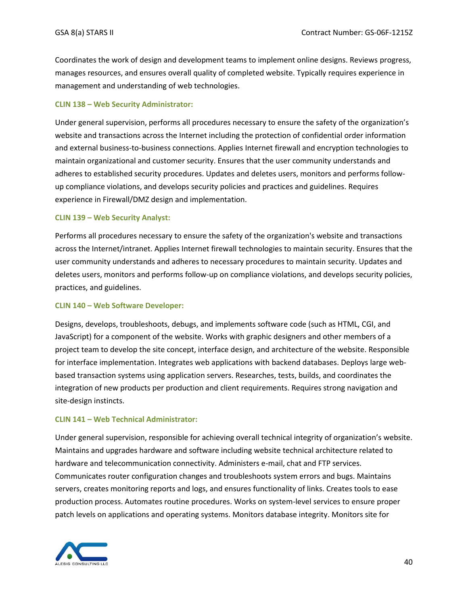Coordinates the work of design and development teams to implement online designs. Reviews progress, manages resources, and ensures overall quality of completed website. Typically requires experience in management and understanding of web technologies.

#### **CLIN 138 – Web Security Administrator:**

Under general supervision, performs all procedures necessary to ensure the safety of the organization's website and transactions across the Internet including the protection of confidential order information and external business-to-business connections. Applies Internet firewall and encryption technologies to maintain organizational and customer security. Ensures that the user community understands and adheres to established security procedures. Updates and deletes users, monitors and performs followup compliance violations, and develops security policies and practices and guidelines. Requires experience in Firewall/DMZ design and implementation.

#### **CLIN 139 – Web Security Analyst:**

Performs all procedures necessary to ensure the safety of the organization's website and transactions across the Internet/intranet. Applies Internet firewall technologies to maintain security. Ensures that the user community understands and adheres to necessary procedures to maintain security. Updates and deletes users, monitors and performs follow-up on compliance violations, and develops security policies, practices, and guidelines.

#### **CLIN 140 – Web Software Developer:**

Designs, develops, troubleshoots, debugs, and implements software code (such as HTML, CGI, and JavaScript) for a component of the website. Works with graphic designers and other members of a project team to develop the site concept, interface design, and architecture of the website. Responsible for interface implementation. Integrates web applications with backend databases. Deploys large webbased transaction systems using application servers. Researches, tests, builds, and coordinates the integration of new products per production and client requirements. Requires strong navigation and site-design instincts.

#### **CLIN 141 – Web Technical Administrator:**

Under general supervision, responsible for achieving overall technical integrity of organization's website. Maintains and upgrades hardware and software including website technical architecture related to hardware and telecommunication connectivity. Administers e-mail, chat and FTP services. Communicates router configuration changes and troubleshoots system errors and bugs. Maintains servers, creates monitoring reports and logs, and ensures functionality of links. Creates tools to ease production process. Automates routine procedures. Works on system-level services to ensure proper patch levels on applications and operating systems. Monitors database integrity. Monitors site for